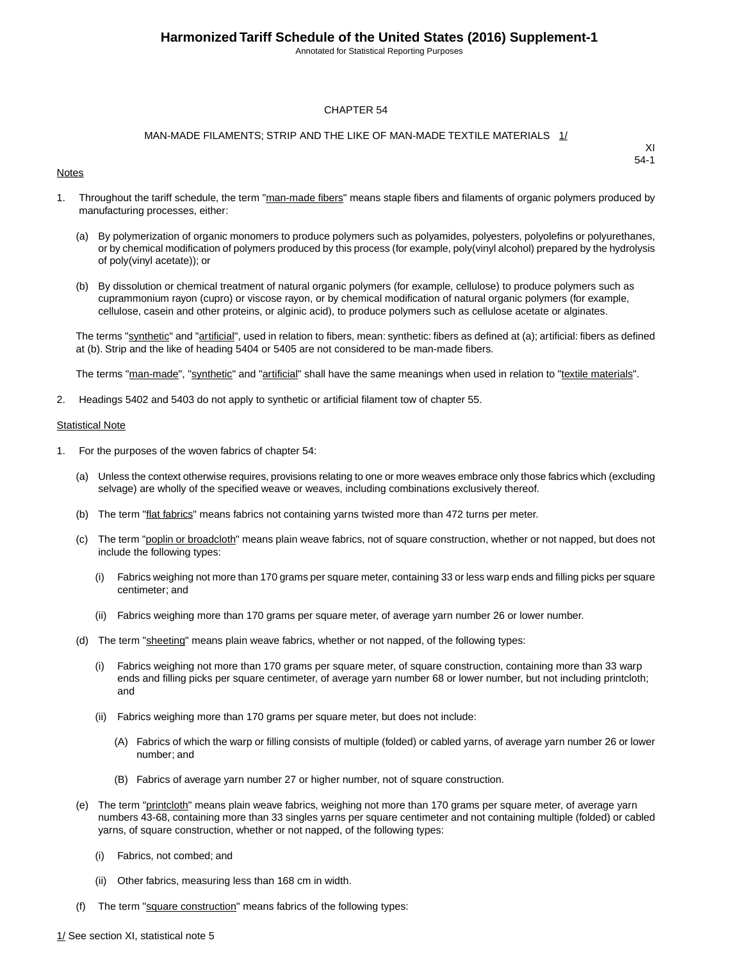Annotated for Statistical Reporting Purposes

### CHAPTER 54

### MAN-MADE FILAMENTS; STRIP AND THE LIKE OF MAN-MADE TEXTILE MATERIALS 1/

#### **Notes**

XI 54-1

- 1. Throughout the tariff schedule, the term "man-made fibers" means staple fibers and filaments of organic polymers produced by manufacturing processes, either:
	- (a) By polymerization of organic monomers to produce polymers such as polyamides, polyesters, polyolefins or polyurethanes, or by chemical modification of polymers produced by this process (for example, poly(vinyl alcohol) prepared by the hydrolysis of poly(vinyl acetate)); or
	- (b) By dissolution or chemical treatment of natural organic polymers (for example, cellulose) to produce polymers such as cuprammonium rayon (cupro) or viscose rayon, or by chemical modification of natural organic polymers (for example, cellulose, casein and other proteins, or alginic acid), to produce polymers such as cellulose acetate or alginates.

The terms "synthetic" and "artificial", used in relation to fibers, mean: synthetic: fibers as defined at (a); artificial: fibers as defined at (b). Strip and the like of heading 5404 or 5405 are not considered to be man-made fibers.

The terms "man-made", "synthetic" and "artificial" shall have the same meanings when used in relation to "textile materials".

2. Headings 5402 and 5403 do not apply to synthetic or artificial filament tow of chapter 55.

#### **Statistical Note**

- 1. For the purposes of the woven fabrics of chapter 54:
	- (a) Unless the context otherwise requires, provisions relating to one or more weaves embrace only those fabrics which (excluding selvage) are wholly of the specified weave or weaves, including combinations exclusively thereof.
	- (b) The term "flat fabrics" means fabrics not containing yarns twisted more than 472 turns per meter.
	- (c) The term "poplin or broadcloth" means plain weave fabrics, not of square construction, whether or not napped, but does not include the following types:
		- (i) Fabrics weighing not more than 170 grams per square meter, containing 33 or less warp ends and filling picks per square centimeter; and
		- (ii) Fabrics weighing more than 170 grams per square meter, of average yarn number 26 or lower number.
	- (d) The term "sheeting" means plain weave fabrics, whether or not napped, of the following types:
		- (i) Fabrics weighing not more than 170 grams per square meter, of square construction, containing more than 33 warp ends and filling picks per square centimeter, of average yarn number 68 or lower number, but not including printcloth; and
		- (ii) Fabrics weighing more than 170 grams per square meter, but does not include:
			- (A) Fabrics of which the warp or filling consists of multiple (folded) or cabled yarns, of average yarn number 26 or lower number; and
			- (B) Fabrics of average yarn number 27 or higher number, not of square construction.
	- (e) The term "printcloth" means plain weave fabrics, weighing not more than 170 grams per square meter, of average yarn numbers 43-68, containing more than 33 singles yarns per square centimeter and not containing multiple (folded) or cabled yarns, of square construction, whether or not napped, of the following types:
		- (i) Fabrics, not combed; and
		- (ii) Other fabrics, measuring less than 168 cm in width.
	- (f) The term "square construction" means fabrics of the following types: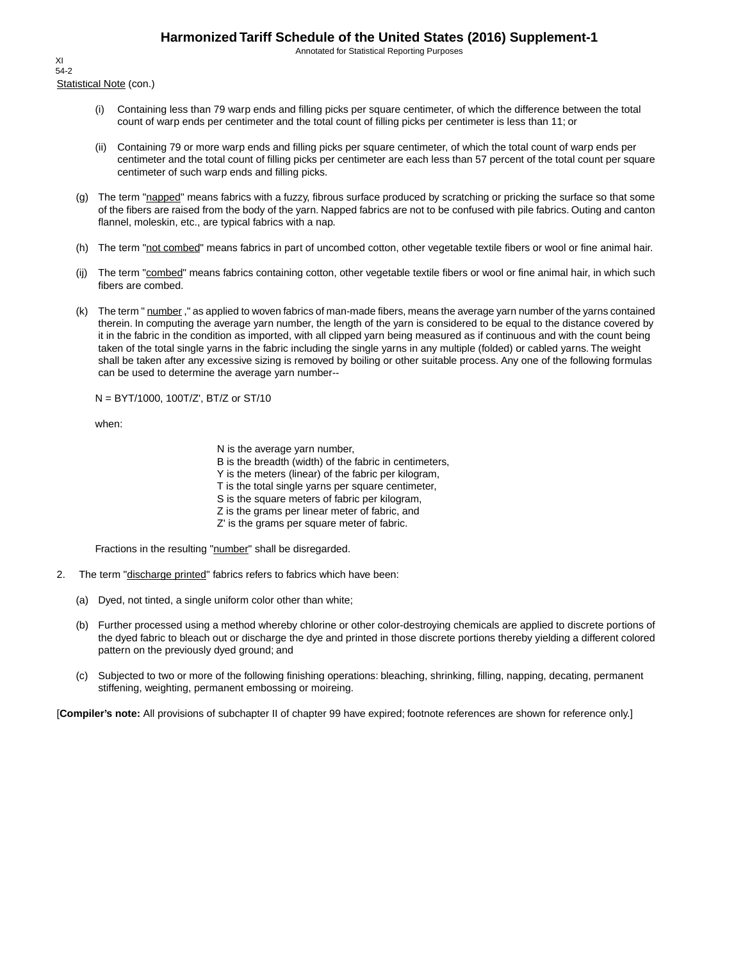Annotated for Statistical Reporting Purposes

Statistical Note (con.) XI 54-2

- (i) Containing less than 79 warp ends and filling picks per square centimeter, of which the difference between the total count of warp ends per centimeter and the total count of filling picks per centimeter is less than 11; or
- (ii) Containing 79 or more warp ends and filling picks per square centimeter, of which the total count of warp ends per centimeter and the total count of filling picks per centimeter are each less than 57 percent of the total count per square centimeter of such warp ends and filling picks.
- (g) The term "napped" means fabrics with a fuzzy, fibrous surface produced by scratching or pricking the surface so that some of the fibers are raised from the body of the yarn. Napped fabrics are not to be confused with pile fabrics. Outing and canton flannel, moleskin, etc., are typical fabrics with a nap.
- (h) The term "not combed" means fabrics in part of uncombed cotton, other vegetable textile fibers or wool or fine animal hair.
- (ij) The term "combed" means fabrics containing cotton, other vegetable textile fibers or wool or fine animal hair, in which such fibers are combed.
- (k) The term " number," as applied to woven fabrics of man-made fibers, means the average yarn number of the yarns contained therein. In computing the average yarn number, the length of the yarn is considered to be equal to the distance covered by it in the fabric in the condition as imported, with all clipped yarn being measured as if continuous and with the count being taken of the total single yarns in the fabric including the single yarns in any multiple (folded) or cabled yarns. The weight shall be taken after any excessive sizing is removed by boiling or other suitable process. Any one of the following formulas can be used to determine the average yarn number--

N = BYT/1000, 100T/Z', BT/Z or ST/10

when:

N is the average yarn number,

B is the breadth (width) of the fabric in centimeters,

Y is the meters (linear) of the fabric per kilogram,

T is the total single yarns per square centimeter,

S is the square meters of fabric per kilogram,

- Z is the grams per linear meter of fabric, and
- Z' is the grams per square meter of fabric.

Fractions in the resulting "number" shall be disregarded.

- 2. The term "discharge printed" fabrics refers to fabrics which have been:
	- (a) Dyed, not tinted, a single uniform color other than white;
	- (b) Further processed using a method whereby chlorine or other color-destroying chemicals are applied to discrete portions of the dyed fabric to bleach out or discharge the dye and printed in those discrete portions thereby yielding a different colored pattern on the previously dyed ground; and
	- (c) Subjected to two or more of the following finishing operations: bleaching, shrinking, filling, napping, decating, permanent stiffening, weighting, permanent embossing or moireing.

[**Compiler's note:** All provisions of subchapter II of chapter 99 have expired; footnote references are shown for reference only.]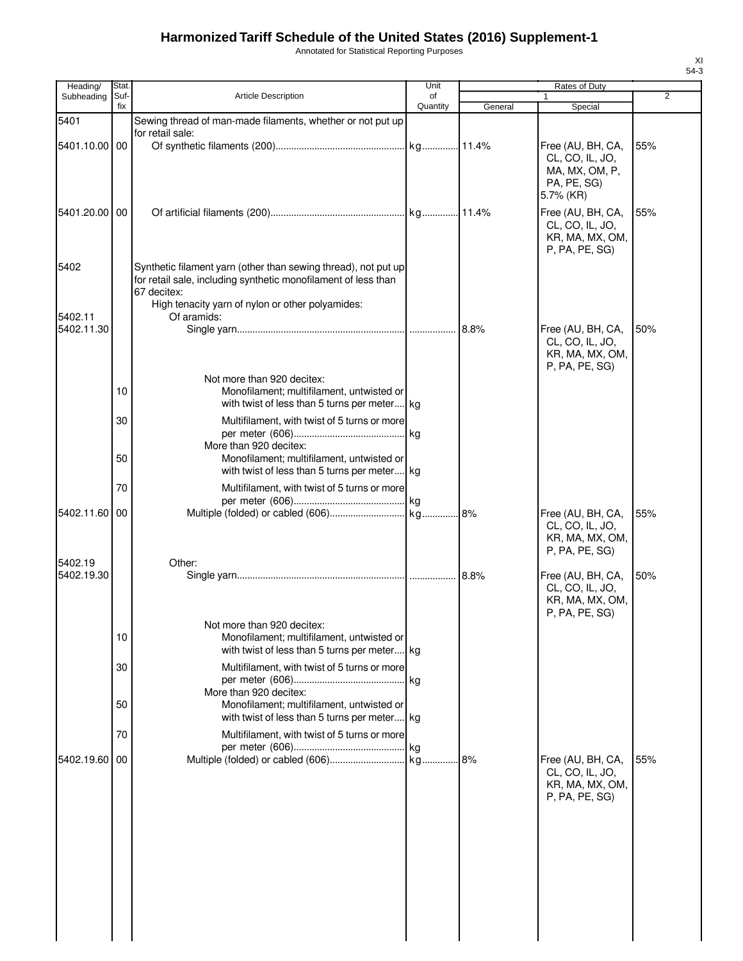Annotated for Statistical Reporting Purposes

| Heading/              | Stat.       |                                                                                                                                                                                                     | Unit           |         | Rates of Duty                                                                      |                |
|-----------------------|-------------|-----------------------------------------------------------------------------------------------------------------------------------------------------------------------------------------------------|----------------|---------|------------------------------------------------------------------------------------|----------------|
| Subheading            | Suf-<br>fix | <b>Article Description</b>                                                                                                                                                                          | of<br>Quantity | General | 1<br>Special                                                                       | $\overline{2}$ |
| 5401                  |             | Sewing thread of man-made filaments, whether or not put up                                                                                                                                          |                |         |                                                                                    |                |
| 5401.10.00 00         |             | for retail sale:                                                                                                                                                                                    |                |         | Free (AU, BH, CA,<br>CL, CO, IL, JO,<br>MA, MX, OM, P,<br>PA, PE, SG)<br>5.7% (KR) | 55%            |
| 5401.20.00 00         |             |                                                                                                                                                                                                     |                |         | Free (AU, BH, CA,<br>CL, CO, IL, JO,<br>KR, MA, MX, OM,<br>P, PA, PE, SG           | 55%            |
| 5402                  |             | Synthetic filament yarn (other than sewing thread), not put up<br>for retail sale, including synthetic monofilament of less than<br>67 decitex:<br>High tenacity yarn of nylon or other polyamides: |                |         |                                                                                    |                |
| 5402.11<br>5402.11.30 |             | Of aramids:                                                                                                                                                                                         |                |         | Free (AU, BH, CA,<br>CL, CO, IL, JO,<br>KR, MA, MX, OM,<br>P, PA, PE, SG)          | 50%            |
|                       | 10          | Not more than 920 decitex:<br>Monofilament; multifilament, untwisted or<br>with twist of less than 5 turns per meter kg                                                                             |                |         |                                                                                    |                |
|                       | 30          | Multifilament, with twist of 5 turns or more<br>More than 920 decitex:                                                                                                                              |                |         |                                                                                    |                |
|                       | 50          | Monofilament; multifilament, untwisted or<br>with twist of less than 5 turns per meter kg                                                                                                           |                |         |                                                                                    |                |
| 5402.11.60 00         | 70          | Multifilament, with twist of 5 turns or more                                                                                                                                                        |                |         | Free (AU, BH, CA,                                                                  | 55%            |
|                       |             |                                                                                                                                                                                                     |                |         | CL, CO, IL, JO,<br>KR, MA, MX, OM,<br>P, PA, PE, SG)                               |                |
| 5402.19<br>5402.19.30 |             | Other:                                                                                                                                                                                              |                |         | Free (AU, BH, CA,<br>CL, CO, IL, JO,<br>KR, MA, MX, OM,<br>P, PA, PE, SG)          | 50%            |
|                       | 10          | Not more than 920 decitex:<br>Monofilament; multifilament, untwisted or<br>with twist of less than 5 turns per meter kg                                                                             |                |         |                                                                                    |                |
|                       | 30          | Multifilament, with twist of 5 turns or more<br>More than 920 decitex:                                                                                                                              |                |         |                                                                                    |                |
|                       | 50          | Monofilament; multifilament, untwisted or<br>with twist of less than 5 turns per meter kg                                                                                                           |                |         |                                                                                    |                |
|                       | 70          | Multifilament, with twist of 5 turns or more                                                                                                                                                        |                |         |                                                                                    |                |
| 5402.19.60            | 00          |                                                                                                                                                                                                     |                |         | Free (AU, BH, CA,<br>CL, CO, IL, JO,<br>KR, MA, MX, OM,<br>P, PA, PE, SG)          | 55%            |
|                       |             |                                                                                                                                                                                                     |                |         |                                                                                    |                |
|                       |             |                                                                                                                                                                                                     |                |         |                                                                                    |                |
|                       |             |                                                                                                                                                                                                     |                |         |                                                                                    |                |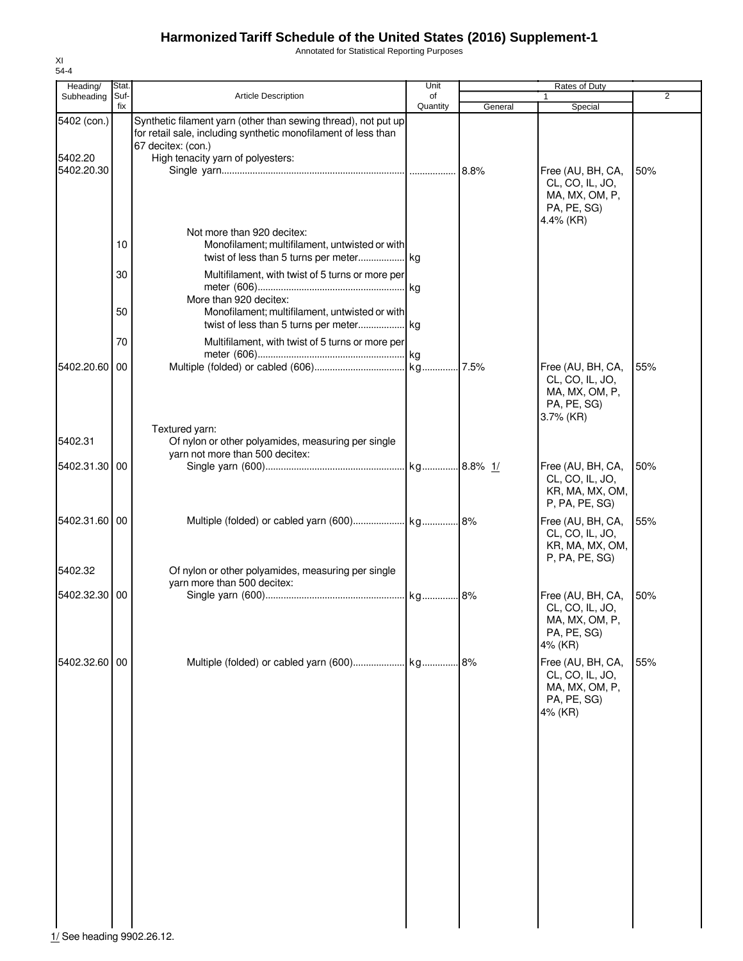Annotated for Statistical Reporting Purposes

| Heading/              | Stat. |                                                                                                                                  | Unit     |         | Rates of Duty                                                                         |                |
|-----------------------|-------|----------------------------------------------------------------------------------------------------------------------------------|----------|---------|---------------------------------------------------------------------------------------|----------------|
| Subheading            | Suf-  | <b>Article Description</b>                                                                                                       | of       |         |                                                                                       | $\overline{2}$ |
| 5402 (con.)           | fix   | Synthetic filament yarn (other than sewing thread), not put up<br>for retail sale, including synthetic monofilament of less than | Quantity | General | Special                                                                               |                |
| 5402.20<br>5402.20.30 |       | 67 decitex: (con.)<br>High tenacity yarn of polyesters:                                                                          |          |         | Free (AU, BH, CA,<br>CL, CO, IL, JO,<br>MA, MX, OM, P,<br>PA, PE, SG)                 | 50%            |
|                       | 10    | Not more than 920 decitex:<br>Monofilament; multifilament, untwisted or with                                                     |          |         | 4.4% (KR)                                                                             |                |
|                       | 30    | Multifilament, with twist of 5 turns or more per                                                                                 |          |         |                                                                                       |                |
|                       | 50    | More than 920 decitex:<br>Monofilament; multifilament, untwisted or with                                                         |          |         |                                                                                       |                |
|                       | 70    | Multifilament, with twist of 5 turns or more per                                                                                 |          |         |                                                                                       |                |
| 5402.20.60            | 00    |                                                                                                                                  |          |         | Free (AU, BH, CA,<br>CL, CO, IL, JO,<br>MA, MX, OM, P,<br>PA, PE, SG)<br>$3.7\%$ (KR) | 55%            |
| 5402.31               |       | Textured yarn:<br>Of nylon or other polyamides, measuring per single                                                             |          |         |                                                                                       |                |
| 5402.31.30 00         |       | yarn not more than 500 decitex:                                                                                                  |          |         | Free (AU, BH, CA,<br>CL, CO, IL, JO,<br>KR, MA, MX, OM,<br>P, PA, PE, SG)             | 50%            |
| 5402.31.60 00         |       |                                                                                                                                  |          |         | Free (AU, BH, CA,<br>CL, CO, IL, JO,<br>KR, MA, MX, OM,<br>P, PA, PE, SG)             | 55%            |
| 5402.32               |       | Of nylon or other polyamides, measuring per single<br>yarn more than 500 decitex:                                                |          |         |                                                                                       |                |
| 5402.32.30 00         |       |                                                                                                                                  |          |         | Free (AU, BH, CA,<br>CL, CO, IL, JO,<br>MA, MX, OM, P<br>PA, PE, SG)<br>4% (KR)       | 50%            |
| 5402.32.60 00         |       | Multiple (folded) or cabled yarn (600) kg                                                                                        |          | .18%    | Free (AU, BH, CA,<br>CL, CO, IL, JO,<br>MA, MX, OM, P,<br>PA, PE, SG)<br>4% (KR)      | 55%            |
|                       |       |                                                                                                                                  |          |         |                                                                                       |                |
|                       |       |                                                                                                                                  |          |         |                                                                                       |                |
|                       |       |                                                                                                                                  |          |         |                                                                                       |                |
|                       |       |                                                                                                                                  |          |         |                                                                                       |                |
|                       |       |                                                                                                                                  |          |         |                                                                                       |                |
|                       |       |                                                                                                                                  |          |         |                                                                                       |                |

XI 54-4

1/ See heading 9902.26.12.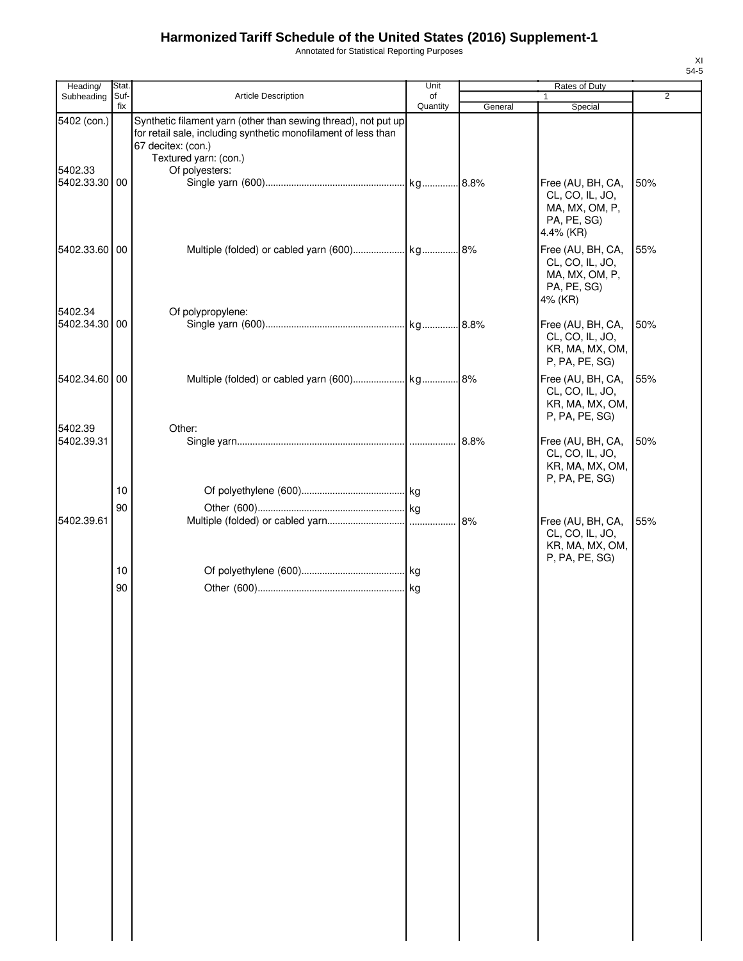Annotated for Statistical Reporting Purposes

| ۰, | ۰, |
|----|----|
|    |    |

| Heading/                 | Stat.       |                                                                                                                                                                                 | Unit           |         | Rates of Duty                                                                      |                |
|--------------------------|-------------|---------------------------------------------------------------------------------------------------------------------------------------------------------------------------------|----------------|---------|------------------------------------------------------------------------------------|----------------|
| Subheading               | Suf-<br>fix | <b>Article Description</b>                                                                                                                                                      | of<br>Quantity |         | $\mathbf{1}$                                                                       | $\overline{2}$ |
| 5402 (con.)              |             | Synthetic filament yarn (other than sewing thread), not put up<br>for retail sale, including synthetic monofilament of less than<br>67 decitex: (con.)<br>Textured yarn: (con.) |                | General | Special                                                                            |                |
| 5402.33<br>5402.33.30 00 |             | Of polyesters:                                                                                                                                                                  |                |         | Free (AU, BH, CA,<br>CL, CO, IL, JO,<br>MA, MX, OM, P,<br>PA, PE, SG)<br>4.4% (KR) | 50%            |
| 5402.33.60 00            |             |                                                                                                                                                                                 |                |         | Free (AU, BH, CA,<br>CL, CO, IL, JO,<br>MA, MX, OM, P,<br>PA, PE, SG)<br>4% (KR)   | 55%            |
| 5402.34<br>5402.34.30 00 |             | Of polypropylene:                                                                                                                                                               |                |         | Free (AU, BH, CA,<br>CL, CO, IL, JO,<br>KR, MA, MX, OM,<br>P, PA, PE, SG)          | 50%            |
| 5402.34.60 00            |             |                                                                                                                                                                                 |                |         | Free (AU, BH, CA,<br>CL, CO, IL, JO,<br>KR, MA, MX, OM,<br>P, PA, PE, SG)          | 55%            |
| 5402.39<br>5402.39.31    |             | Other:                                                                                                                                                                          |                | 8.8%    | Free (AU, BH, CA,<br>CL, CO, IL, JO,<br>KR, MA, MX, OM,<br>P, PA, PE, SG)          | 50%            |
|                          | 10          |                                                                                                                                                                                 |                |         |                                                                                    |                |
|                          | 90          |                                                                                                                                                                                 |                |         |                                                                                    |                |
| 5402.39.61               |             |                                                                                                                                                                                 |                | 8%      | Free (AU, BH, CA,<br>CL, CO, IL, JO,<br>KR, MA, MX, OM,<br>P, PA, PE, SG)          | 55%            |
|                          | 10<br>90    |                                                                                                                                                                                 |                |         |                                                                                    |                |
|                          |             |                                                                                                                                                                                 |                |         |                                                                                    |                |
|                          |             |                                                                                                                                                                                 |                |         |                                                                                    |                |
|                          |             |                                                                                                                                                                                 |                |         |                                                                                    |                |
|                          |             |                                                                                                                                                                                 |                |         |                                                                                    |                |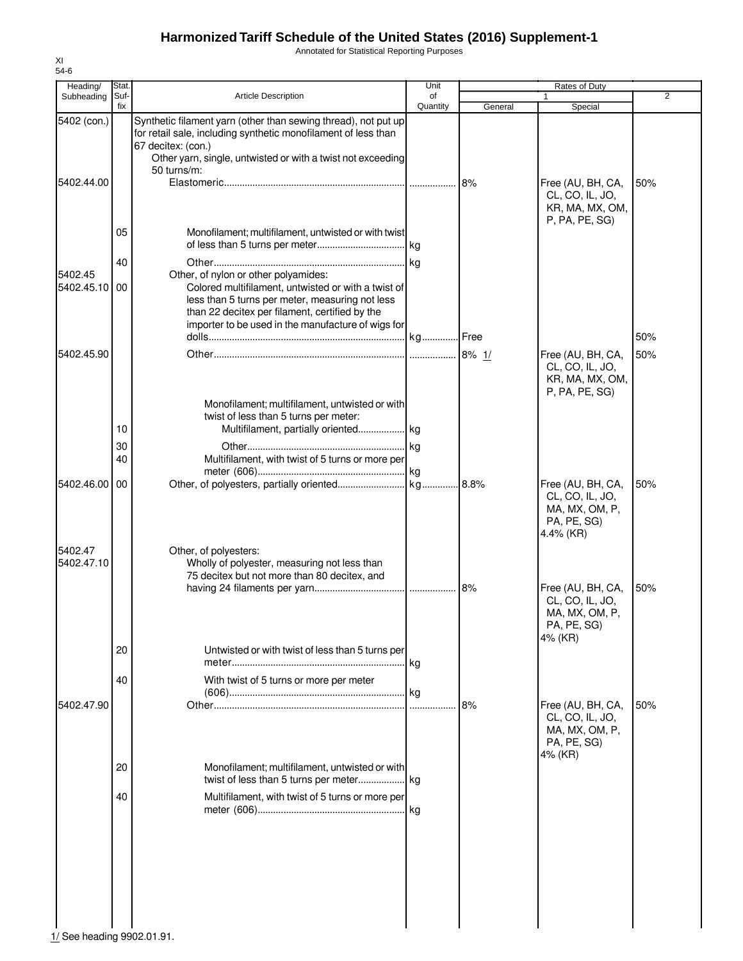Annotated for Statistical Reporting Purposes

| Heading/              | Stat.       |                                                                                                                                                                                                                                                        | Unit           |         | Rates of Duty                                                                      |     |
|-----------------------|-------------|--------------------------------------------------------------------------------------------------------------------------------------------------------------------------------------------------------------------------------------------------------|----------------|---------|------------------------------------------------------------------------------------|-----|
| Subheading            | Suf-<br>fix | <b>Article Description</b>                                                                                                                                                                                                                             | of<br>Quantity | General | Special                                                                            | 2   |
| 5402 (con.)           |             | Synthetic filament yarn (other than sewing thread), not put up<br>for retail sale, including synthetic monofilament of less than<br>67 decitex: (con.)                                                                                                 |                |         |                                                                                    |     |
|                       |             | Other yarn, single, untwisted or with a twist not exceeding                                                                                                                                                                                            |                |         |                                                                                    |     |
|                       |             | 50 turns/m:                                                                                                                                                                                                                                            |                |         |                                                                                    |     |
| 5402.44.00            |             |                                                                                                                                                                                                                                                        |                | 8%      | Free (AU, BH, CA,<br>CL, CO, IL, JO,<br>KR, MA, MX, OM,<br>P, PA, PE, SG)          | 50% |
|                       | 05          | Monofilament; multifilament, untwisted or with twist                                                                                                                                                                                                   |                |         |                                                                                    |     |
|                       |             |                                                                                                                                                                                                                                                        |                |         |                                                                                    |     |
|                       | 40          |                                                                                                                                                                                                                                                        |                |         |                                                                                    |     |
| 5402.45<br>5402.45.10 | 00          | Other, of nylon or other polyamides:<br>Colored multifilament, untwisted or with a twist of<br>less than 5 turns per meter, measuring not less<br>than 22 decitex per filament, certified by the<br>importer to be used in the manufacture of wigs for |                |         |                                                                                    |     |
|                       |             |                                                                                                                                                                                                                                                        |                |         |                                                                                    | 50% |
| 5402.45.90            |             |                                                                                                                                                                                                                                                        |                |         | Free (AU, BH, CA,                                                                  | 50% |
|                       |             | Monofilament; multifilament, untwisted or with                                                                                                                                                                                                         |                |         | CL, CO, IL, JO,<br>KR, MA, MX, OM,<br>P, PA, PE, SG)                               |     |
|                       |             | twist of less than 5 turns per meter:                                                                                                                                                                                                                  |                |         |                                                                                    |     |
|                       | 10          | Multifilament, partially oriented  kg                                                                                                                                                                                                                  |                |         |                                                                                    |     |
|                       | 30          |                                                                                                                                                                                                                                                        | kg             |         |                                                                                    |     |
|                       | 40          | Multifilament, with twist of 5 turns or more per                                                                                                                                                                                                       |                |         |                                                                                    |     |
| 5402.46.00            | 00          |                                                                                                                                                                                                                                                        |                |         | Free (AU, BH, CA,<br>CL, CO, IL, JO,<br>MA, MX, OM, P,<br>PA, PE, SG)<br>4.4% (KR) | 50% |
| 5402.47<br>5402.47.10 |             | Other, of polyesters:<br>Wholly of polyester, measuring not less than<br>75 decitex but not more than 80 decitex, and                                                                                                                                  |                |         |                                                                                    |     |
|                       | 20          |                                                                                                                                                                                                                                                        |                | 8%      | Free (AU, BH, CA,<br>CL, CO, IL, JO,<br>MA, MX, OM, P,<br>PA, PE, SG)<br>4% (KR)   | 50% |
|                       |             | Untwisted or with twist of less than 5 turns per                                                                                                                                                                                                       |                |         |                                                                                    |     |
|                       | 40          |                                                                                                                                                                                                                                                        |                |         |                                                                                    |     |
|                       |             | With twist of 5 turns or more per meter                                                                                                                                                                                                                |                |         |                                                                                    |     |
| 5402.47.90            |             |                                                                                                                                                                                                                                                        |                | 8%      | Free (AU, BH, CA,<br>CL, CO, IL, JO,<br>MA, MX, OM, P,<br>PA, PE, SG)<br>4% (KR)   | 50% |
|                       | 20          | Monofilament; multifilament, untwisted or with                                                                                                                                                                                                         |                |         |                                                                                    |     |
|                       |             |                                                                                                                                                                                                                                                        |                |         |                                                                                    |     |
|                       | 40          | Multifilament, with twist of 5 turns or more per                                                                                                                                                                                                       |                |         |                                                                                    |     |
|                       |             |                                                                                                                                                                                                                                                        |                |         |                                                                                    |     |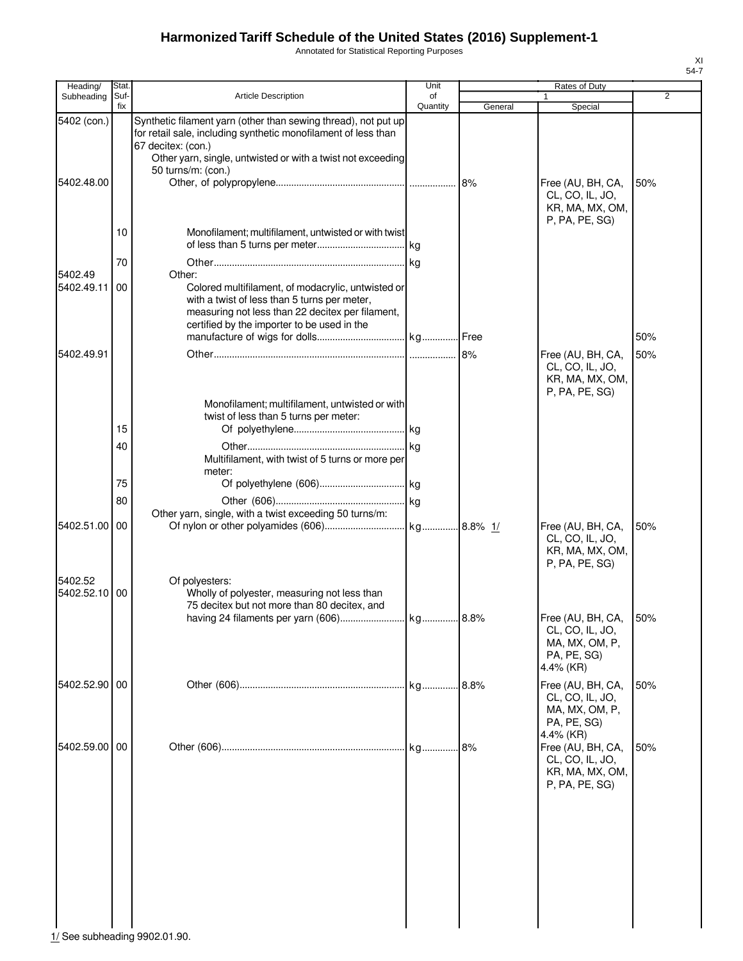Annotated for Statistical Reporting Purposes

| Heading/                 | Stat.       |                                                                                                                                                                                                                                             | Unit           |         | Rates of Duty                                                                      |                |
|--------------------------|-------------|---------------------------------------------------------------------------------------------------------------------------------------------------------------------------------------------------------------------------------------------|----------------|---------|------------------------------------------------------------------------------------|----------------|
| Subheading               | Suf-<br>fix | <b>Article Description</b>                                                                                                                                                                                                                  | of<br>Quantity | General | Special                                                                            | $\overline{2}$ |
| 5402 (con.)              |             | Synthetic filament yarn (other than sewing thread), not put up<br>for retail sale, including synthetic monofilament of less than<br>67 decitex: (con.)<br>Other yarn, single, untwisted or with a twist not exceeding<br>50 turns/m: (con.) |                |         |                                                                                    |                |
| 5402.48.00               |             |                                                                                                                                                                                                                                             |                | 8%      | Free (AU, BH, CA,<br>CL, CO, IL, JO,<br>KR, MA, MX, OM,<br>P, PA, PE, SG)          | 50%            |
|                          | 10          | Monofilament; multifilament, untwisted or with twist                                                                                                                                                                                        |                |         |                                                                                    |                |
| 5402.49                  | 70          | Other:                                                                                                                                                                                                                                      | kg             |         |                                                                                    |                |
| 5402.49.11               | 00          | Colored multifilament, of modacrylic, untwisted or<br>with a twist of less than 5 turns per meter,<br>measuring not less than 22 decitex per filament,<br>certified by the importer to be used in the                                       |                |         |                                                                                    | 50%            |
| 5402.49.91               |             |                                                                                                                                                                                                                                             |                |         | Free (AU, BH, CA,                                                                  | 50%            |
|                          |             | Monofilament; multifilament, untwisted or with                                                                                                                                                                                              |                |         | CL, CO, IL, JO,<br>KR, MA, MX, OM,<br>P, PA, PE, SG)                               |                |
|                          |             | twist of less than 5 turns per meter:                                                                                                                                                                                                       |                |         |                                                                                    |                |
|                          | 15<br>40    |                                                                                                                                                                                                                                             |                |         |                                                                                    |                |
|                          |             | Multifilament, with twist of 5 turns or more per<br>meter:                                                                                                                                                                                  |                |         |                                                                                    |                |
|                          | 75          |                                                                                                                                                                                                                                             |                |         |                                                                                    |                |
|                          | 80          | Other yarn, single, with a twist exceeding 50 turns/m:                                                                                                                                                                                      |                |         |                                                                                    |                |
| 5402.51.00 00            |             |                                                                                                                                                                                                                                             |                |         | Free (AU, BH, CA,<br>CL, CO, IL, JO,<br>KR, MA, MX, OM,<br>P, PA, PE, SG)          | 50%            |
| 5402.52<br>5402.52.10 00 |             | Of polyesters:<br>Wholly of polyester, measuring not less than<br>75 decitex but not more than 80 decitex, and                                                                                                                              |                |         |                                                                                    |                |
|                          |             |                                                                                                                                                                                                                                             |                |         | Free (AU, BH, CA,<br>CL, CO, IL, JO,<br>MA, MX, OM, P,<br>PA, PE, SG)<br>4.4% (KR) | 50%            |
| 5402.52.90 00            |             |                                                                                                                                                                                                                                             |                | .8.8%   | Free (AU, BH, CA,<br>CL, CO, IL, JO,<br>MA, MX, OM, P,<br>PA, PE, SG)<br>4.4% (KR) | 50%            |
| 5402.59.00 00            |             |                                                                                                                                                                                                                                             | kg             | 8%      | Free (AU, BH, CA,<br>CL, CO, IL, JO,<br>KR, MA, MX, OM,<br>P, PA, PE, SG)          | 50%            |
|                          |             |                                                                                                                                                                                                                                             |                |         |                                                                                    |                |

1/ See subheading 9902.01.90.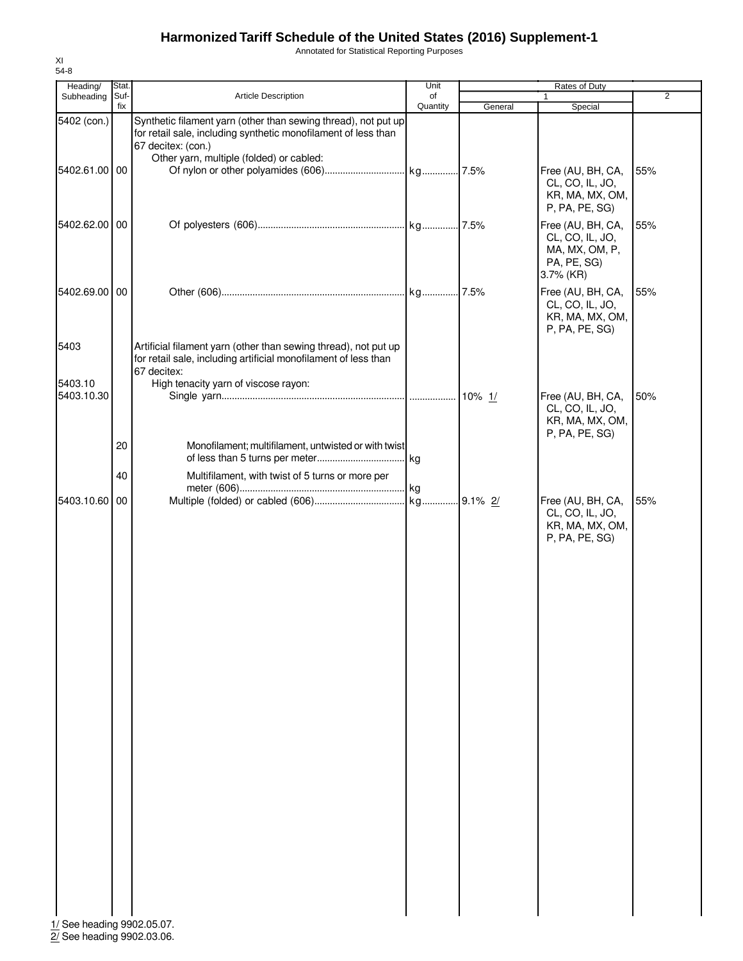Annotated for Statistical Reporting Purposes

| Heading/                   | Stat.       |                                                                                      | Unit           |         | Rates of Duty                      |                |
|----------------------------|-------------|--------------------------------------------------------------------------------------|----------------|---------|------------------------------------|----------------|
| Subheading                 | Suf-<br>fix | Article Description                                                                  | of<br>Quantity |         | 1                                  | $\overline{2}$ |
| 5402 (con.)                |             | Synthetic filament yarn (other than sewing thread), not put up                       |                | General | Special                            |                |
|                            |             | for retail sale, including synthetic monofilament of less than<br>67 decitex: (con.) |                |         |                                    |                |
|                            |             | Other yarn, multiple (folded) or cabled:                                             |                |         |                                    |                |
| 5402.61.00 00              |             |                                                                                      |                |         | Free (AU, BH, CA,                  | 55%            |
|                            |             |                                                                                      |                |         | CL, CO, IL, JO,<br>KR, MA, MX, OM, |                |
|                            |             |                                                                                      |                |         | P, PA, PE, SG)                     |                |
| 5402.62.00 00              |             |                                                                                      |                |         | Free (AU, BH, CA,                  | 55%            |
|                            |             |                                                                                      |                |         | CL, CO, IL, JO,                    |                |
|                            |             |                                                                                      |                |         | MA, MX, OM, P,<br>PA, PE, SG)      |                |
|                            |             |                                                                                      |                |         | 3.7% (KR)                          |                |
| 5402.69.00 00              |             |                                                                                      |                |         | Free (AU, BH, CA,                  | 55%            |
|                            |             |                                                                                      |                |         | CL, CO, IL, JO,                    |                |
|                            |             |                                                                                      |                |         | KR, MA, MX, OM,<br>P, PA, PE, SG)  |                |
| 5403                       |             | Artificial filament yarn (other than sewing thread), not put up                      |                |         |                                    |                |
|                            |             | for retail sale, including artificial monofilament of less than                      |                |         |                                    |                |
|                            |             | 67 decitex:                                                                          |                |         |                                    |                |
| 5403.10<br>5403.10.30      |             | High tenacity yarn of viscose rayon:                                                 |                |         | Free (AU, BH, CA,                  | 50%            |
|                            |             |                                                                                      |                |         | CL, CO, IL, JO,                    |                |
|                            |             |                                                                                      |                |         | KR, MA, MX, OM,<br>P, PA, PE, SG)  |                |
|                            | 20          | Monofilament; multifilament, untwisted or with twist                                 |                |         |                                    |                |
|                            |             |                                                                                      |                |         |                                    |                |
|                            | 40          | Multifilament, with twist of 5 turns or more per                                     |                |         |                                    |                |
| 5403.10.60                 | 00          |                                                                                      | kg             |         | Free (AU, BH, CA,                  | 55%            |
|                            |             |                                                                                      |                |         | CL, CO, IL, JO,                    |                |
|                            |             |                                                                                      |                |         | KR, MA, MX, OM,                    |                |
|                            |             |                                                                                      |                |         | P, PA, PE, SG)                     |                |
|                            |             |                                                                                      |                |         |                                    |                |
|                            |             |                                                                                      |                |         |                                    |                |
|                            |             |                                                                                      |                |         |                                    |                |
|                            |             |                                                                                      |                |         |                                    |                |
|                            |             |                                                                                      |                |         |                                    |                |
|                            |             |                                                                                      |                |         |                                    |                |
|                            |             |                                                                                      |                |         |                                    |                |
|                            |             |                                                                                      |                |         |                                    |                |
|                            |             |                                                                                      |                |         |                                    |                |
|                            |             |                                                                                      |                |         |                                    |                |
|                            |             |                                                                                      |                |         |                                    |                |
|                            |             |                                                                                      |                |         |                                    |                |
|                            |             |                                                                                      |                |         |                                    |                |
|                            |             |                                                                                      |                |         |                                    |                |
|                            |             |                                                                                      |                |         |                                    |                |
|                            |             |                                                                                      |                |         |                                    |                |
|                            |             |                                                                                      |                |         |                                    |                |
|                            |             |                                                                                      |                |         |                                    |                |
|                            |             |                                                                                      |                |         |                                    |                |
|                            |             |                                                                                      |                |         |                                    |                |
|                            |             |                                                                                      |                |         |                                    |                |
| 1/ See heading 9902.05.07. |             |                                                                                      |                |         |                                    |                |

2/ See heading 9902.03.06.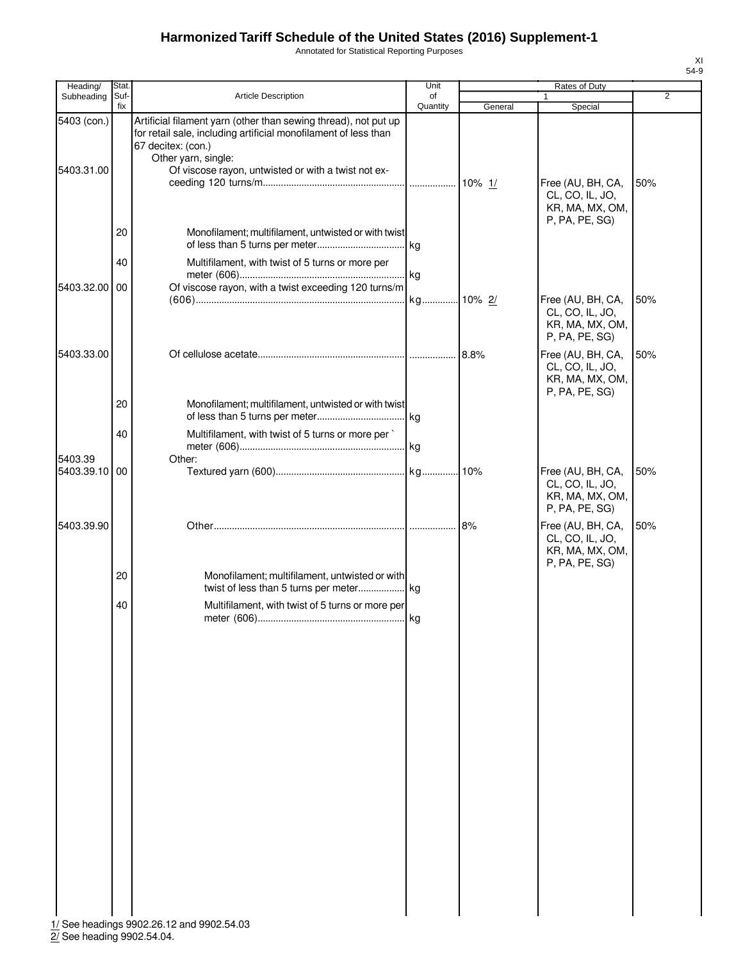Annotated for Statistical Reporting Purposes

| Heading/                  | Stat.          |                                                                                                                                                                                                                                        | Unit           |         | Rates of Duty                                                             |                |
|---------------------------|----------------|----------------------------------------------------------------------------------------------------------------------------------------------------------------------------------------------------------------------------------------|----------------|---------|---------------------------------------------------------------------------|----------------|
| Subheading                | Suf-<br>fix    | Article Description                                                                                                                                                                                                                    | of<br>Quantity | General | $\mathbf{1}$<br>Special                                                   | $\overline{2}$ |
| 5403 (con.)<br>5403.31.00 |                | Artificial filament yarn (other than sewing thread), not put up<br>for retail sale, including artificial monofilament of less than<br>67 decitex: (con.)<br>Other yarn, single:<br>Of viscose rayon, untwisted or with a twist not ex- |                |         | Free (AU, BH, CA,<br>CL, CO, IL, JO,                                      | 50%            |
| 5403.32.00                | 20<br>40<br>00 | Monofilament; multifilament, untwisted or with twist<br>Multifilament, with twist of 5 turns or more per<br>Of viscose rayon, with a twist exceeding 120 turns/m                                                                       |                |         | KR, MA, MX, OM,<br>P, PA, PE, SG)                                         |                |
|                           |                |                                                                                                                                                                                                                                        |                |         | Free (AU, BH, CA,<br>CL, CO, IL, JO,<br>KR, MA, MX, OM,<br>P, PA, PE, SG) | 50%            |
| 5403.33.00                | 20             | Monofilament; multifilament, untwisted or with twist                                                                                                                                                                                   |                | 8.8%    | Free (AU, BH, CA,<br>CL, CO, IL, JO,<br>KR, MA, MX, OM,<br>P, PA, PE, SG) | 50%            |
|                           | 40             | Multifilament, with twist of 5 turns or more per                                                                                                                                                                                       |                |         |                                                                           |                |
| 5403.39<br>5403.39.10 00  |                | Other:                                                                                                                                                                                                                                 |                |         | Free (AU, BH, CA,<br>CL, CO, IL, JO,<br>KR, MA, MX, OM,<br>P, PA, PE, SG) | 50%            |
| 5403.39.90                |                |                                                                                                                                                                                                                                        |                | 8%      | Free (AU, BH, CA,<br>CL, CO, IL, JO,<br>KR, MA, MX, OM,<br>P, PA, PE, SG) | 50%            |
|                           | 20             | Monofilament; multifilament, untwisted or with                                                                                                                                                                                         |                |         |                                                                           |                |
|                           | 40             | Multifilament, with twist of 5 turns or more per                                                                                                                                                                                       |                |         |                                                                           |                |
|                           |                |                                                                                                                                                                                                                                        |                |         |                                                                           |                |
|                           |                |                                                                                                                                                                                                                                        |                |         |                                                                           |                |
|                           |                |                                                                                                                                                                                                                                        |                |         |                                                                           |                |
|                           |                |                                                                                                                                                                                                                                        |                |         |                                                                           |                |
|                           |                |                                                                                                                                                                                                                                        |                |         |                                                                           |                |
|                           |                | 1/ See headings 9902.26.12 and 9902.54.03                                                                                                                                                                                              |                |         |                                                                           |                |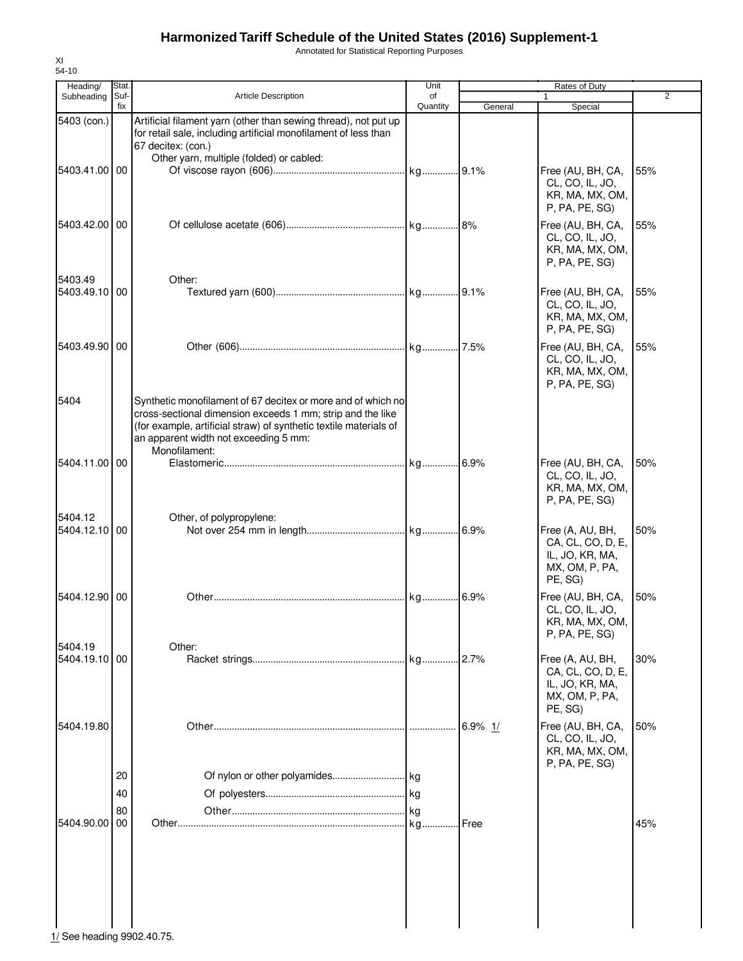Annotated for Statistical Reporting Purposes

| Heading/                 | Stat.       |                                                                                                                                                                                                                                                           | Unit           |         | Rates of Duty                                                                         |     |
|--------------------------|-------------|-----------------------------------------------------------------------------------------------------------------------------------------------------------------------------------------------------------------------------------------------------------|----------------|---------|---------------------------------------------------------------------------------------|-----|
| Subheading               | Suf-<br>fix | <b>Article Description</b>                                                                                                                                                                                                                                | of<br>Quantity | General | $\mathbf{1}$<br>Special                                                               | 2   |
| 5403 (con.)              |             | Artificial filament yarn (other than sewing thread), not put up<br>for retail sale, including artificial monofilament of less than<br>67 decitex: (con.)<br>Other yarn, multiple (folded) or cabled:                                                      |                |         |                                                                                       |     |
| 5403.41.00 00            |             |                                                                                                                                                                                                                                                           |                |         | Free (AU, BH, CA,<br>CL, CO, IL, JO,<br>KR, MA, MX, OM,<br>P, PA, PE, SG)             | 55% |
| 5403.42.00 00<br>5403.49 |             | Other:                                                                                                                                                                                                                                                    |                |         | Free (AU, BH, CA,<br>CL, CO, IL, JO,<br>KR, MA, MX, OM,<br>P, PA, PE, SG)             | 55% |
| 5403.49.10 00            |             |                                                                                                                                                                                                                                                           |                |         | Free (AU, BH, CA,<br>CL, CO, IL, JO,<br>KR, MA, MX, OM,<br>P, PA, PE, SG)             | 55% |
| 5403.49.90   00          |             |                                                                                                                                                                                                                                                           |                |         | Free (AU, BH, CA,<br>CL, CO, IL, JO,<br>KR, MA, MX, OM,<br>P, PA, PE, SG)             | 55% |
| 5404                     |             | Synthetic monofilament of 67 decitex or more and of which no<br>cross-sectional dimension exceeds 1 mm; strip and the like<br>(for example, artificial straw) of synthetic textile materials of<br>an apparent width not exceeding 5 mm:<br>Monofilament: |                |         |                                                                                       |     |
| 5404.11.00 00            |             |                                                                                                                                                                                                                                                           |                |         | Free (AU, BH, CA,<br>CL, CO, IL, JO,<br>KR, MA, MX, OM,<br>P, PA, PE, SG)             | 50% |
| 5404.12<br>5404.12.10 00 |             | Other, of polypropylene:                                                                                                                                                                                                                                  |                |         | Free (A, AU, BH,<br>CA, CL, CO, D, E,<br>IL, JO, KR, MA,<br>MX, OM, P, PA,<br>PE, SG) | 50% |
| 5404.12.90 00            |             |                                                                                                                                                                                                                                                           |                |         | Free (AU, BH, CA,<br>CL, CO, IL, JO,<br>KR, MA, MX, OM,<br>P, PA, PE, SG)             | 50% |
| 5404.19<br>5404.19.10 00 |             | Other:                                                                                                                                                                                                                                                    |                |         | Free (A, AU, BH,<br>CA, CL, CO, D, E,<br>IL, JO, KR, MA,<br>MX, OM, P, PA,<br>PE, SG) | 30% |
| 5404.19.80               |             |                                                                                                                                                                                                                                                           |                | 6.9% 1/ | Free (AU, BH, CA,<br>CL, CO, IL, JO,<br>KR, MA, MX, OM,<br>P, PA, PE, SG)             | 50% |
|                          | 20          |                                                                                                                                                                                                                                                           |                |         |                                                                                       |     |
|                          | 40          |                                                                                                                                                                                                                                                           |                |         |                                                                                       |     |
| 5404.90.00               | 80<br>00    |                                                                                                                                                                                                                                                           |                |         |                                                                                       | 45% |
|                          |             |                                                                                                                                                                                                                                                           |                |         |                                                                                       |     |

 $\frac{1}{2}$  See heading 9902.40.75.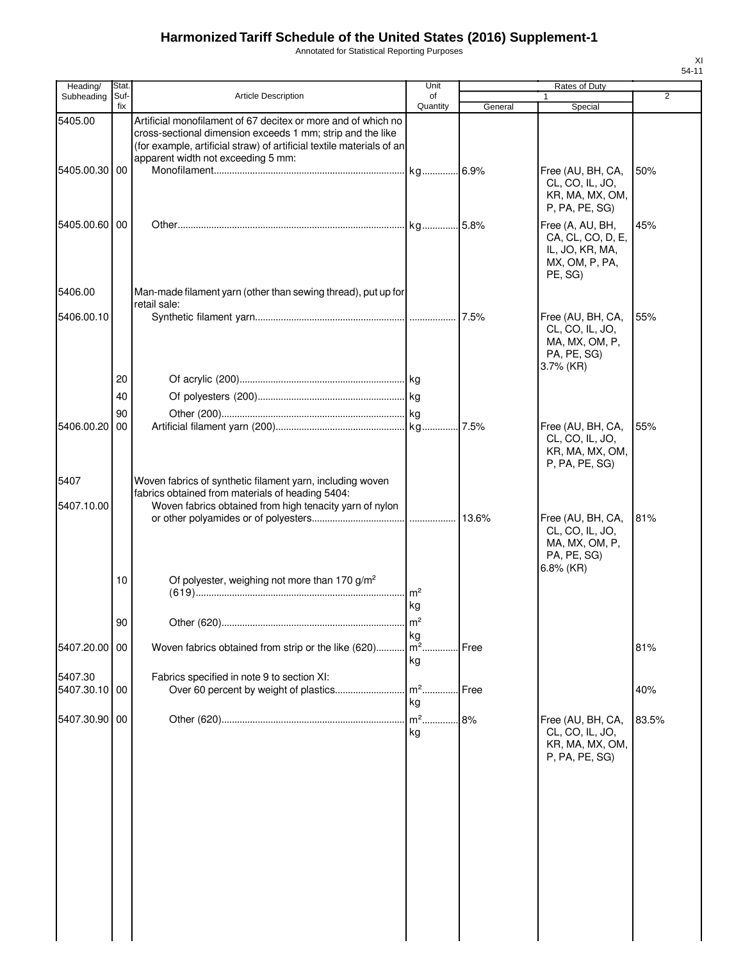Annotated for Statistical Reporting Purposes

| Heading/      | Stat.       |                                                                                                                                                                                                                                            | Unit                 |         | Rates of Duty                                                                         |       |
|---------------|-------------|--------------------------------------------------------------------------------------------------------------------------------------------------------------------------------------------------------------------------------------------|----------------------|---------|---------------------------------------------------------------------------------------|-------|
| Subheading    | Suf-<br>fix | <b>Article Description</b>                                                                                                                                                                                                                 | of<br>Quantity       | General | $\mathbf{1}$<br>Special                                                               | 2     |
| 5405.00       |             | Artificial monofilament of 67 decitex or more and of which no<br>cross-sectional dimension exceeds 1 mm; strip and the like<br>(for example, artificial straw) of artificial textile materials of an<br>apparent width not exceeding 5 mm: |                      |         |                                                                                       |       |
| 5405.00.30    | 00          |                                                                                                                                                                                                                                            |                      |         | Free (AU, BH, CA,<br>CL, CO, IL, JO,<br>KR, MA, MX, OM,<br>P, PA, PE, SG)             | 50%   |
| 5405.00.60 00 |             |                                                                                                                                                                                                                                            |                      |         | Free (A, AU, BH,<br>CA, CL, CO, D, E,<br>IL, JO, KR, MA,<br>MX, OM, P, PA,<br>PE, SG) | 45%   |
| 5406.00       |             | Man-made filament yarn (other than sewing thread), put up for<br>retail sale:                                                                                                                                                              |                      |         |                                                                                       |       |
| 5406.00.10    |             |                                                                                                                                                                                                                                            |                      |         | Free (AU, BH, CA,<br>CL, CO, IL, JO,<br>MA, MX, OM, P,<br>PA, PE, SG)<br>$3.7\%$ (KR) | 55%   |
|               | 20          |                                                                                                                                                                                                                                            |                      |         |                                                                                       |       |
|               | 40          |                                                                                                                                                                                                                                            |                      |         |                                                                                       |       |
|               | 90          |                                                                                                                                                                                                                                            |                      |         |                                                                                       |       |
| 5406.00.20    | 00          |                                                                                                                                                                                                                                            |                      | 7.5%    | Free (AU, BH, CA,<br>CL, CO, IL, JO,<br>KR, MA, MX, OM,<br>P, PA, PE, SG)             | 55%   |
| 5407          |             | Woven fabrics of synthetic filament yarn, including woven                                                                                                                                                                                  |                      |         |                                                                                       |       |
| 5407.10.00    |             | fabrics obtained from materials of heading 5404:<br>Woven fabrics obtained from high tenacity yarn of nylon                                                                                                                                |                      |         |                                                                                       |       |
|               |             |                                                                                                                                                                                                                                            |                      | 13.6%   | Free (AU, BH, CA,<br>CL, CO, IL, JO,<br>MA, MX, OM, P,<br>PA, PE, SG)<br>$6.8\%$ (KR) | 81%   |
|               | 10          | Of polyester, weighing not more than 170 g/m <sup>2</sup>                                                                                                                                                                                  | m <sup>2</sup><br>kg |         |                                                                                       |       |
|               | $90\,$      |                                                                                                                                                                                                                                            |                      |         |                                                                                       |       |
| 5407.20.00    | 00          | Woven fabrics obtained from strip or the like (620)                                                                                                                                                                                        | kg<br>m <sup>2</sup> | Free    |                                                                                       | 81%   |
|               |             |                                                                                                                                                                                                                                            | kg                   |         |                                                                                       |       |
| 5407.30       |             | Fabrics specified in note 9 to section XI:                                                                                                                                                                                                 |                      |         |                                                                                       |       |
| 5407.30.10    | 00          | Over 60 percent by weight of plastics                                                                                                                                                                                                      | $m2$ .               | Free    |                                                                                       | 40%   |
|               |             |                                                                                                                                                                                                                                            | kg                   |         |                                                                                       |       |
| 5407.30.90 00 |             |                                                                                                                                                                                                                                            | $m2$ .<br>kg         | 8%      | Free (AU, BH, CA,<br>CL, CO, IL, JO,<br>KR, MA, MX, OM,<br>P, PA, PE, SG)             | 83.5% |
|               |             |                                                                                                                                                                                                                                            |                      |         |                                                                                       |       |
|               |             |                                                                                                                                                                                                                                            |                      |         |                                                                                       |       |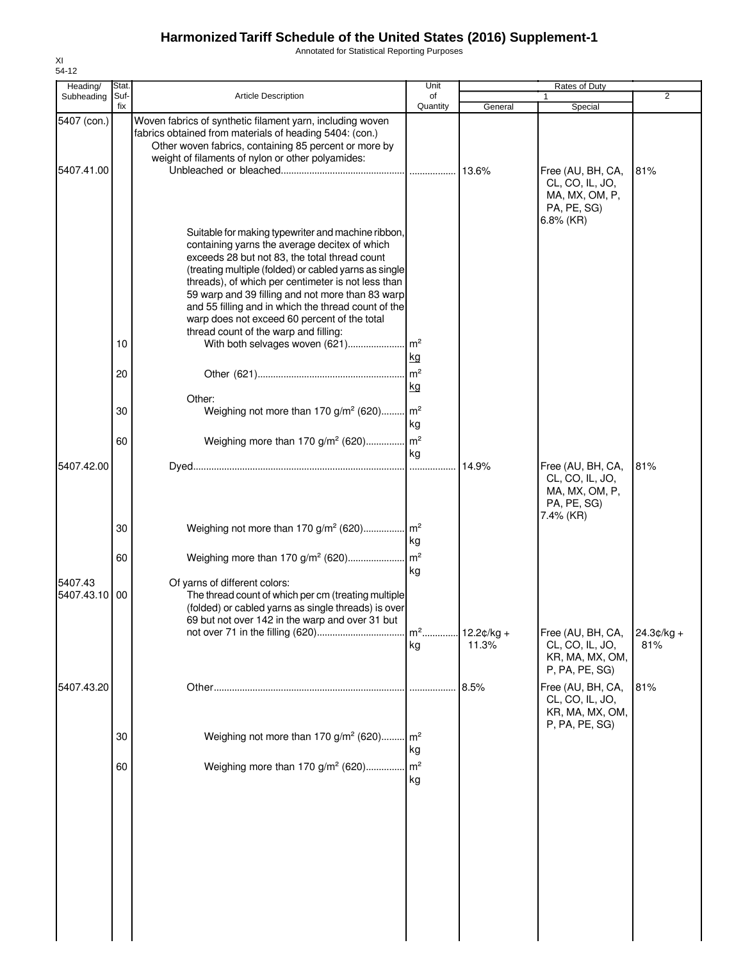Annotated for Statistical Reporting Purposes

| Heading/                  | Stat.          |                                                                                                                                                                                                                                                                                                                                                                                                                                                                                                                                                                                | Unit                                                |                       | Rates of Duty                                                         |                     |
|---------------------------|----------------|--------------------------------------------------------------------------------------------------------------------------------------------------------------------------------------------------------------------------------------------------------------------------------------------------------------------------------------------------------------------------------------------------------------------------------------------------------------------------------------------------------------------------------------------------------------------------------|-----------------------------------------------------|-----------------------|-----------------------------------------------------------------------|---------------------|
| Subheading                | Suf-<br>fix    | <b>Article Description</b>                                                                                                                                                                                                                                                                                                                                                                                                                                                                                                                                                     | of<br>Quantity                                      | General               | Special                                                               | 2                   |
| 5407 (con.)<br>5407.41.00 |                | Woven fabrics of synthetic filament yarn, including woven<br>fabrics obtained from materials of heading 5404: (con.)<br>Other woven fabrics, containing 85 percent or more by<br>weight of filaments of nylon or other polyamides:                                                                                                                                                                                                                                                                                                                                             |                                                     | 13.6%                 | Free (AU, BH, CA,<br>CL, CO, IL, JO,<br>MA, MX, OM, P,                | 81%                 |
|                           | 10<br>20<br>30 | Suitable for making typewriter and machine ribbon,<br>containing yarns the average decitex of which<br>exceeds 28 but not 83, the total thread count<br>(treating multiple (folded) or cabled yarns as single<br>threads), of which per centimeter is not less than<br>59 warp and 39 filling and not more than 83 warp<br>and 55 filling and in which the thread count of the<br>warp does not exceed 60 percent of the total<br>thread count of the warp and filling:<br>With both selvages woven (621)<br>Other:<br>Weighing not more than 170 $g/m^2$ (620) m <sup>2</sup> | $\mathsf{Im}^2$<br>kg<br>$\mathsf{m}^2$<br>kg<br>kg |                       | PA, PE, SG)<br>$6.8\%$ (KR)                                           |                     |
| 5407.42.00                | 60             | Weighing more than 170 g/m <sup>2</sup> (620) m <sup>2</sup>                                                                                                                                                                                                                                                                                                                                                                                                                                                                                                                   | kg                                                  | 14.9%                 | Free (AU, BH, CA,<br>CL, CO, IL, JO,<br>MA, MX, OM, P,<br>PA, PE, SG) | 81%                 |
|                           | 30             |                                                                                                                                                                                                                                                                                                                                                                                                                                                                                                                                                                                | kg                                                  |                       | 7.4% (KR)                                                             |                     |
|                           | 60             | Weighing more than 170 g/m <sup>2</sup> (620)                                                                                                                                                                                                                                                                                                                                                                                                                                                                                                                                  | $\mathsf{Im}^2$                                     |                       |                                                                       |                     |
| 5407.43<br>5407.43.10     | 00             | Of yarns of different colors:<br>The thread count of which per cm (treating multiple<br>(folded) or cabled yarns as single threads) is over<br>69 but not over 142 in the warp and over 31 but                                                                                                                                                                                                                                                                                                                                                                                 | kg<br>$m2$<br>kg                                    | $12.2¢/kg +$<br>11.3% | Free (AU, BH, CA,<br>CL, CO, IL, JO,<br>KR, MA, MX, OM,               | $24.3¢/kg +$<br>81% |
| 5407.43.20                |                |                                                                                                                                                                                                                                                                                                                                                                                                                                                                                                                                                                                |                                                     | 8.5%                  | P, PA, PE, SG)<br>Free (AU, BH, CA,                                   | 81%                 |
|                           |                |                                                                                                                                                                                                                                                                                                                                                                                                                                                                                                                                                                                |                                                     |                       | CL, CO, IL, JO,<br>KR, MA, MX, OM,<br>P, PA, PE, SG)                  |                     |
|                           | 30             | Weighing not more than 170 g/m <sup>2</sup> (620)                                                                                                                                                                                                                                                                                                                                                                                                                                                                                                                              | m <sup>2</sup><br>kg                                |                       |                                                                       |                     |
|                           | 60             | Weighing more than 170 g/m <sup>2</sup> (620)                                                                                                                                                                                                                                                                                                                                                                                                                                                                                                                                  | m <sup>2</sup><br>kg                                |                       |                                                                       |                     |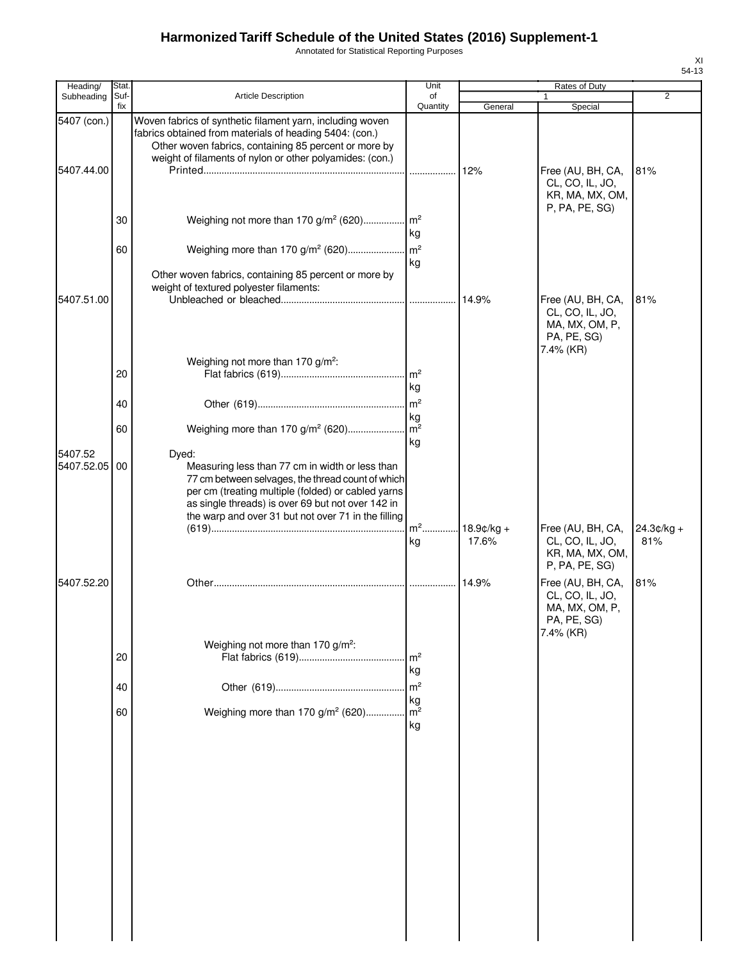Annotated for Statistical Reporting Purposes

| Heading/                  | Stat        |                                                                                                                                                                                                                                           | Unit                                    |                        | Rates of Duty                                                                      |                     |
|---------------------------|-------------|-------------------------------------------------------------------------------------------------------------------------------------------------------------------------------------------------------------------------------------------|-----------------------------------------|------------------------|------------------------------------------------------------------------------------|---------------------|
| Subheading                | Suf-<br>fix | Article Description                                                                                                                                                                                                                       | of<br>Quantity                          | General                | Special                                                                            | $\overline{2}$      |
| 5407 (con.)<br>5407.44.00 |             | Woven fabrics of synthetic filament yarn, including woven<br>fabrics obtained from materials of heading 5404: (con.)<br>Other woven fabrics, containing 85 percent or more by<br>weight of filaments of nylon or other polyamides: (con.) | .                                       | 12%                    | Free (AU, BH, CA,                                                                  | 81%                 |
|                           | 30<br>60    | Weighing not more than 170 $g/m^2$ (620)<br>Weighing more than 170 g/m <sup>2</sup> (620)                                                                                                                                                 | $\mathsf{Im}^2$<br>kg<br>$\mathsf{m}^2$ |                        | CL, CO, IL, JO,<br>KR, MA, MX, OM,<br>P, PA, PE, SG)                               |                     |
| 5407.51.00                |             | Other woven fabrics, containing 85 percent or more by<br>weight of textured polyester filaments:                                                                                                                                          | kg                                      | 14.9%                  | Free (AU, BH, CA,<br>CL, CO, IL, JO,<br>MA, MX, OM, P,<br>PA, PE, SG)              | 81%                 |
|                           | 20<br>40    | Weighing not more than 170 g/m <sup>2</sup> :                                                                                                                                                                                             | $\mathsf{Im}^2$<br>kg<br>kg             |                        | 7.4% (KR)                                                                          |                     |
| 5407.52<br>5407.52.05     | 60<br>00    | Weighing more than 170 g/m <sup>2</sup> (620)<br>Dyed:<br>Measuring less than 77 cm in width or less than<br>77 cm between selvages, the thread count of which<br>per cm (treating multiple (folded) or cabled yarns                      | $\mathsf{Im}^2$<br>kg                   |                        |                                                                                    |                     |
|                           |             | as single threads) is over 69 but not over 142 in<br>the warp and over 31 but not over 71 in the filling                                                                                                                                  | kg                                      | $18.9$ ¢/kg +<br>17.6% | Free (AU, BH, CA,<br>CL, CO, IL, JO,<br>KR, MA, MX, OM,<br>P, PA, PE, SG)          | $24.3¢/kg +$<br>81% |
| 5407.52.20                |             | Weighing not more than 170 g/m <sup>2</sup> :                                                                                                                                                                                             |                                         | 14.9%                  | Free (AU, BH, CA,<br>CL, CO, IL, JO,<br>MA, MX, OM, P,<br>PA, PE, SG)<br>7.4% (KR) | 81%                 |
|                           | 20<br>40    |                                                                                                                                                                                                                                           | m <sup>2</sup><br>kg<br>m <sup>2</sup>  |                        |                                                                                    |                     |
|                           | 60          | Weighing more than 170 g/m <sup>2</sup> (620)                                                                                                                                                                                             | kg<br>m <sup>2</sup><br>kg              |                        |                                                                                    |                     |
|                           |             |                                                                                                                                                                                                                                           |                                         |                        |                                                                                    |                     |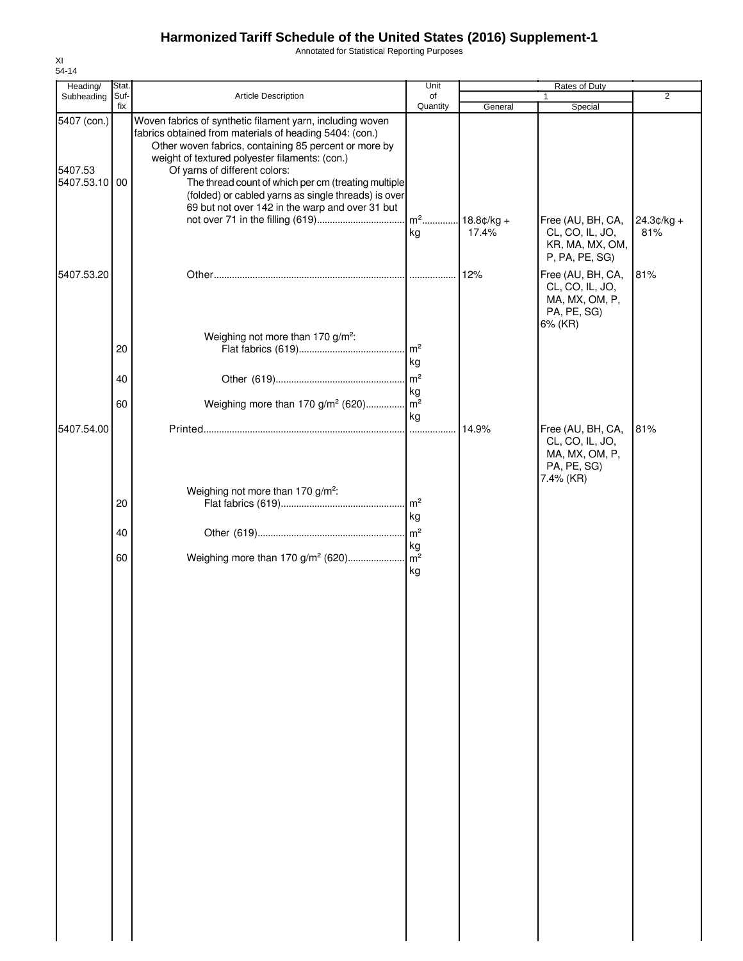Annotated for Statistical Reporting Purposes

| Heading/                                | Stat.       |                                                                                                                                                                                                                                                                                                                                                                                                                                   | Unit                  |                                    | <b>Rates of Duty</b>                                                               |                     |
|-----------------------------------------|-------------|-----------------------------------------------------------------------------------------------------------------------------------------------------------------------------------------------------------------------------------------------------------------------------------------------------------------------------------------------------------------------------------------------------------------------------------|-----------------------|------------------------------------|------------------------------------------------------------------------------------|---------------------|
| Subheading                              | Suf-<br>fix | Article Description                                                                                                                                                                                                                                                                                                                                                                                                               | of<br>Quantity        | General                            | Special                                                                            | $\overline{2}$      |
| 5407 (con.)<br>5407.53<br>5407.53.10 00 |             | Woven fabrics of synthetic filament yarn, including woven<br>fabrics obtained from materials of heading 5404: (con.)<br>Other woven fabrics, containing 85 percent or more by<br>weight of textured polyester filaments: (con.)<br>Of yarns of different colors:<br>The thread count of which per cm (treating multiple<br>(folded) or cabled yarns as single threads) is over<br>69 but not over 142 in the warp and over 31 but | kg                    | m <sup>2</sup> 18.8¢/kg +<br>17.4% | Free (AU, BH, CA,<br>CL, CO, IL, JO,<br>KR, MA, MX, OM,<br>P, PA, PE, SG)          | $24.3¢/kg +$<br>81% |
| 5407.53.20                              |             |                                                                                                                                                                                                                                                                                                                                                                                                                                   |                       | 12%                                | Free (AU, BH, CA,<br>CL, CO, IL, JO,<br>MA, MX, OM, P,<br>PA, PE, SG)<br>6% (KR)   | 81%                 |
|                                         | 20          | Weighing not more than 170 g/m <sup>2</sup> :                                                                                                                                                                                                                                                                                                                                                                                     | $\mathsf{Im}^2$<br>kg |                                    |                                                                                    |                     |
|                                         | 40          |                                                                                                                                                                                                                                                                                                                                                                                                                                   | kg                    |                                    |                                                                                    |                     |
|                                         | 60          | Weighing more than 170 g/m <sup>2</sup> (620) m <sup>2</sup>                                                                                                                                                                                                                                                                                                                                                                      |                       |                                    |                                                                                    |                     |
| 5407.54.00                              |             |                                                                                                                                                                                                                                                                                                                                                                                                                                   | kg                    | 14.9%                              | Free (AU, BH, CA,<br>CL, CO, IL, JO,<br>MA, MX, OM, P,<br>PA, PE, SG)<br>7.4% (KR) | 81%                 |
|                                         | 20          | Weighing not more than 170 g/m <sup>2</sup> :                                                                                                                                                                                                                                                                                                                                                                                     | kg                    |                                    |                                                                                    |                     |
|                                         | 40          |                                                                                                                                                                                                                                                                                                                                                                                                                                   | kg                    |                                    |                                                                                    |                     |
|                                         | 60          |                                                                                                                                                                                                                                                                                                                                                                                                                                   | kg                    |                                    |                                                                                    |                     |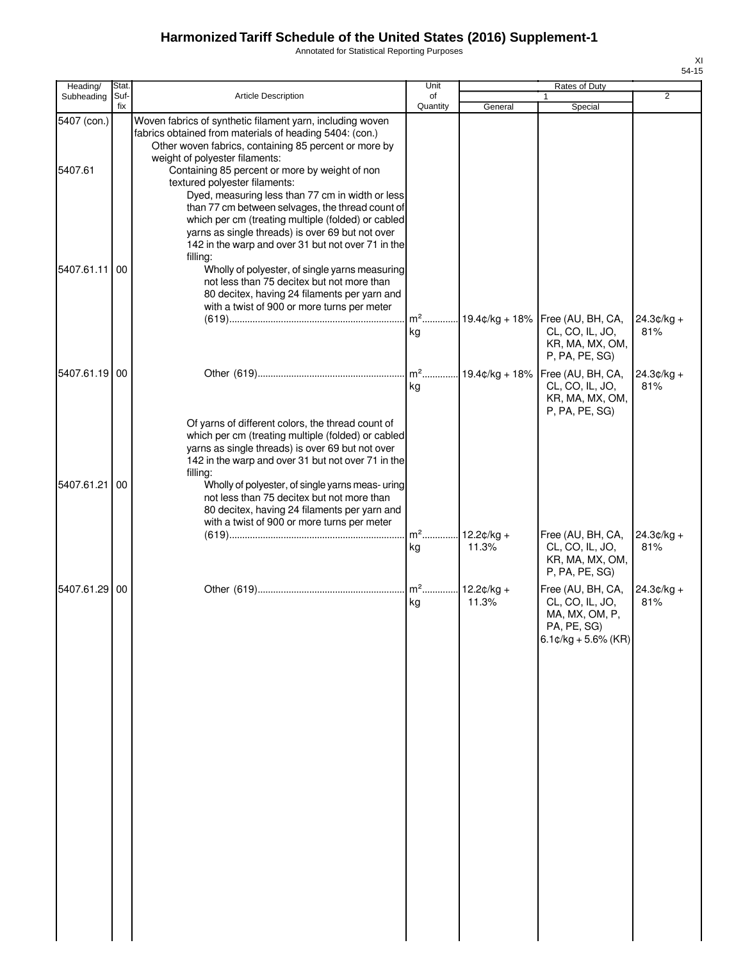Annotated for Statistical Reporting Purposes

| Heading/               | Stat.       |                                                                                                                                                                                                                                                                                                                                                                                                                                                                  | Unit                 |                       | Rates of Duty                                                                                |                     |
|------------------------|-------------|------------------------------------------------------------------------------------------------------------------------------------------------------------------------------------------------------------------------------------------------------------------------------------------------------------------------------------------------------------------------------------------------------------------------------------------------------------------|----------------------|-----------------------|----------------------------------------------------------------------------------------------|---------------------|
| Subheading             | Suf-<br>fix | <b>Article Description</b>                                                                                                                                                                                                                                                                                                                                                                                                                                       | of<br>Quantity       | General               | Special                                                                                      | 2                   |
| 5407 (con.)<br>5407.61 |             | Woven fabrics of synthetic filament yarn, including woven<br>fabrics obtained from materials of heading 5404: (con.)<br>Other woven fabrics, containing 85 percent or more by<br>weight of polyester filaments:<br>Containing 85 percent or more by weight of non<br>textured polyester filaments:<br>Dyed, measuring less than 77 cm in width or less<br>than 77 cm between selvages, the thread count of<br>which per cm (treating multiple (folded) or cabled |                      |                       |                                                                                              |                     |
| 5407.61.11             | 00          | yarns as single threads) is over 69 but not over<br>142 in the warp and over 31 but not over 71 in the<br>filling:<br>Wholly of polyester, of single yarns measuring<br>not less than 75 decitex but not more than<br>80 decitex, having 24 filaments per yarn and<br>with a twist of 900 or more turns per meter                                                                                                                                                | $m2$ .<br>kg         | $19.4¢/kg + 18%$      | Free (AU, BH, CA,<br>CL, CO, IL, JO,<br>KR, MA, MX, OM,                                      | $24.3¢/kg +$<br>81% |
| 5407.61.19 00          |             |                                                                                                                                                                                                                                                                                                                                                                                                                                                                  | $m^2$<br>kg          | 19.4¢/kg + 18%        | P, PA, PE, SG)<br>Free (AU, BH, CA,<br>CL, CO, IL, JO,                                       | $24.3¢/kg +$<br>81% |
| 5407.61.21             | 00          | Of yarns of different colors, the thread count of<br>which per cm (treating multiple (folded) or cabled<br>yarns as single threads) is over 69 but not over<br>142 in the warp and over 31 but not over 71 in the<br>filling:<br>Wholly of polyester, of single yarns meas- uring<br>not less than 75 decitex but not more than<br>80 decitex, having 24 filaments per yarn and<br>with a twist of 900 or more turns per meter                                   | $m2$ .<br>kg         | $12.2¢/kg +$<br>11.3% | KR, MA, MX, OM,<br>P, PA, PE, SG)<br>Free (AU, BH, CA,<br>CL, CO, IL, JO,<br>KR, MA, MX, OM, | $24.3¢/kg +$<br>81% |
| 5407.61.29 00          |             |                                                                                                                                                                                                                                                                                                                                                                                                                                                                  | m <sup>2</sup><br>kg | $12.2¢/kg +$<br>11.3% | P, PA, PE, SG)<br>Free (AU, BH, CA,<br>CL, CO, IL, JO,<br>MA, MX, OM, P,                     | $24.3¢/kg +$<br>81% |
|                        |             |                                                                                                                                                                                                                                                                                                                                                                                                                                                                  |                      |                       | PA, PE, SG)<br>$6.1$ ¢/kg + 5.6% (KR)                                                        |                     |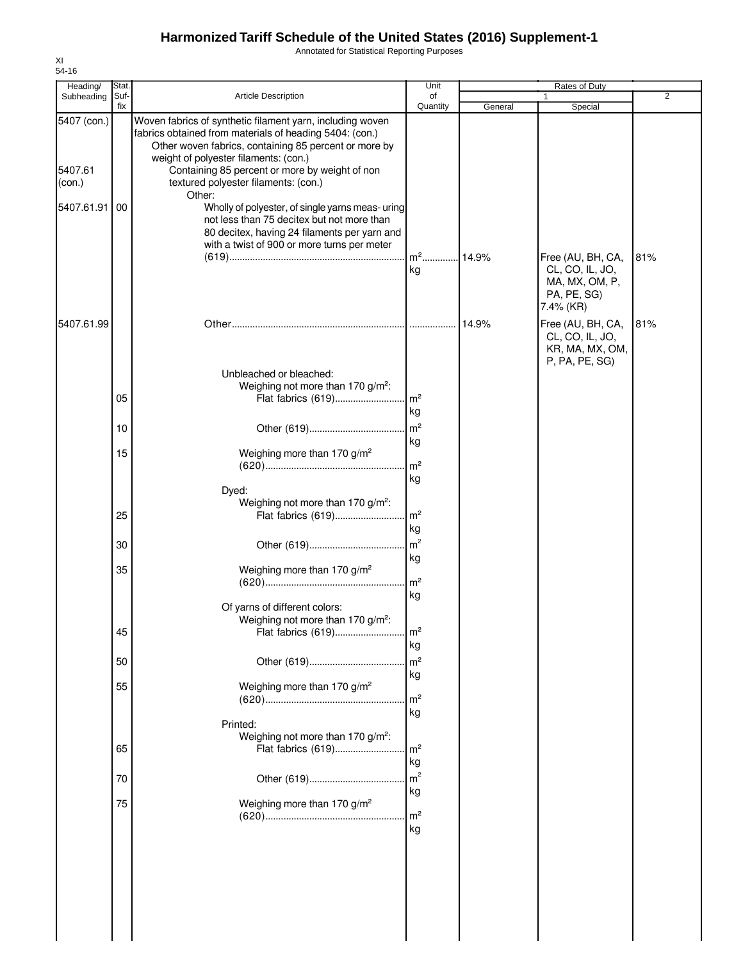Annotated for Statistical Reporting Purposes

| Heading/                                       | Stat.       |                                                                                                                                                                                                                                                                                                                                                                                                                                                                                                                             | Unit                       |         | Rates of Duty                                                             |                |
|------------------------------------------------|-------------|-----------------------------------------------------------------------------------------------------------------------------------------------------------------------------------------------------------------------------------------------------------------------------------------------------------------------------------------------------------------------------------------------------------------------------------------------------------------------------------------------------------------------------|----------------------------|---------|---------------------------------------------------------------------------|----------------|
| Subheading                                     | Suf-<br>fix | Article Description                                                                                                                                                                                                                                                                                                                                                                                                                                                                                                         | of<br>Quantity             | General | 1<br>Special                                                              | $\overline{2}$ |
| 5407 (con.)<br>5407.61<br>(con.)<br>5407.61.91 | 00          | Woven fabrics of synthetic filament yarn, including woven<br>fabrics obtained from materials of heading 5404: (con.)<br>Other woven fabrics, containing 85 percent or more by<br>weight of polyester filaments: (con.)<br>Containing 85 percent or more by weight of non<br>textured polyester filaments: (con.)<br>Other:<br>Wholly of polyester, of single yarns meas- uring<br>not less than 75 decitex but not more than<br>80 decitex, having 24 filaments per yarn and<br>with a twist of 900 or more turns per meter | m <sup>2</sup> 14.9%       |         | Free (AU, BH, CA,                                                         | 81%            |
|                                                |             |                                                                                                                                                                                                                                                                                                                                                                                                                                                                                                                             | kg                         |         | CL, CO, IL, JO,<br>MA, MX, OM, P,<br>PA, PE, SG)<br>7.4% (KR)             |                |
| 5407.61.99                                     |             |                                                                                                                                                                                                                                                                                                                                                                                                                                                                                                                             |                            | 14.9%   | Free (AU, BH, CA,<br>CL, CO, IL, JO,<br>KR, MA, MX, OM,<br>P, PA, PE, SG) | 81%            |
|                                                | 05          | Unbleached or bleached:<br>Weighing not more than 170 g/m <sup>2</sup> :                                                                                                                                                                                                                                                                                                                                                                                                                                                    | kg                         |         |                                                                           |                |
|                                                | 10          |                                                                                                                                                                                                                                                                                                                                                                                                                                                                                                                             | m <sup>2</sup><br>kg       |         |                                                                           |                |
|                                                | 15          | Weighing more than 170 g/m <sup>2</sup><br>Dyed:                                                                                                                                                                                                                                                                                                                                                                                                                                                                            | m <sup>2</sup><br>kg       |         |                                                                           |                |
|                                                | 25          | Weighing not more than 170 g/m <sup>2</sup> :<br>Flat fabrics (619)                                                                                                                                                                                                                                                                                                                                                                                                                                                         | $\mathsf{Im}^2$            |         |                                                                           |                |
|                                                | 30          |                                                                                                                                                                                                                                                                                                                                                                                                                                                                                                                             | kg<br>m <sup>2</sup>       |         |                                                                           |                |
|                                                | 35          | Weighing more than 170 g/m <sup>2</sup>                                                                                                                                                                                                                                                                                                                                                                                                                                                                                     | kg<br>$\mathsf{Im}^2$      |         |                                                                           |                |
|                                                | 45          | Of yarns of different colors:<br>Weighing not more than 170 g/m <sup>2</sup> :<br>Flat fabrics (619)                                                                                                                                                                                                                                                                                                                                                                                                                        | kg<br>m <sup>2</sup><br>kg |         |                                                                           |                |
|                                                | 50          |                                                                                                                                                                                                                                                                                                                                                                                                                                                                                                                             | m <sup>2</sup>             |         |                                                                           |                |
|                                                | 55          | Weighing more than 170 g/m <sup>2</sup><br>Printed:                                                                                                                                                                                                                                                                                                                                                                                                                                                                         | kg<br>$\rm{m}^2$<br>kg     |         |                                                                           |                |
|                                                | 65          | Weighing not more than 170 g/m <sup>2</sup> :<br>Flat fabrics (619)                                                                                                                                                                                                                                                                                                                                                                                                                                                         | m <sup>2</sup><br>kg       |         |                                                                           |                |
|                                                | 70          |                                                                                                                                                                                                                                                                                                                                                                                                                                                                                                                             | m <sup>2</sup>             |         |                                                                           |                |
|                                                | 75          | Weighing more than 170 g/m <sup>2</sup>                                                                                                                                                                                                                                                                                                                                                                                                                                                                                     | kg<br>$\rm{m}^2$<br>kg     |         |                                                                           |                |
|                                                |             |                                                                                                                                                                                                                                                                                                                                                                                                                                                                                                                             |                            |         |                                                                           |                |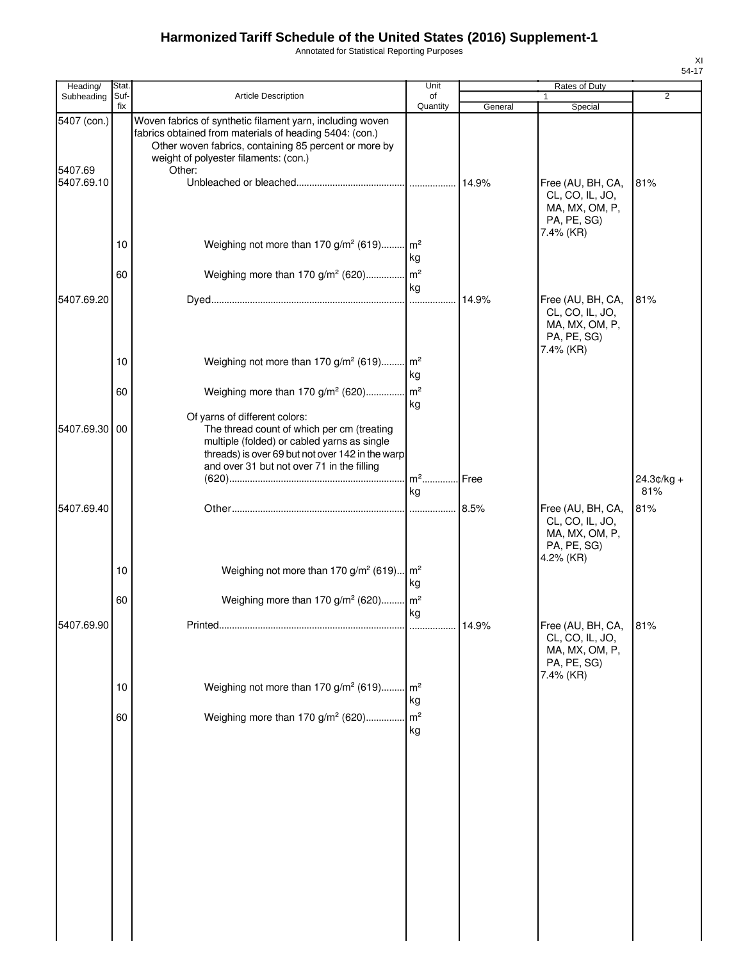Annotated for Statistical Reporting Purposes

| Heading/               | <b>Stat</b> |                                                                                                                                                                                                                                  | Unit                 |         | Rates of Duty                                                                      |                     |
|------------------------|-------------|----------------------------------------------------------------------------------------------------------------------------------------------------------------------------------------------------------------------------------|----------------------|---------|------------------------------------------------------------------------------------|---------------------|
| Subheading             | Suf-        | <b>Article Description</b>                                                                                                                                                                                                       | of                   |         |                                                                                    | $\overline{2}$      |
|                        | fix         |                                                                                                                                                                                                                                  | Quantity             | General | Special                                                                            |                     |
| 5407 (con.)<br>5407.69 |             | Woven fabrics of synthetic filament yarn, including woven<br>fabrics obtained from materials of heading 5404: (con.)<br>Other woven fabrics, containing 85 percent or more by<br>weight of polyester filaments: (con.)<br>Other: |                      |         |                                                                                    |                     |
| 5407.69.10             |             |                                                                                                                                                                                                                                  |                      | 14.9%   | Free (AU, BH, CA,<br>CL, CO, IL, JO,<br>MA, MX, OM, P,<br>PA, PE, SG)<br>7.4% (KR) | 81%                 |
|                        | 10<br>60    | Weighing not more than 170 g/m <sup>2</sup> (619) m <sup>2</sup><br>Weighing more than 170 g/m <sup>2</sup> (620) m <sup>2</sup>                                                                                                 | kg                   |         |                                                                                    |                     |
|                        |             |                                                                                                                                                                                                                                  | kg                   |         |                                                                                    |                     |
| 5407.69.20             |             |                                                                                                                                                                                                                                  |                      | 14.9%   | Free (AU, BH, CA,<br>CL, CO, IL, JO,<br>MA, MX, OM, P,<br>PA, PE, SG)<br>7.4% (KR) | 81%                 |
|                        | 10          | Weighing not more than 170 g/m <sup>2</sup> (619) m <sup>2</sup>                                                                                                                                                                 | kg                   |         |                                                                                    |                     |
|                        | 60          | Weighing more than 170 g/m <sup>2</sup> (620) m <sup>2</sup>                                                                                                                                                                     | kg                   |         |                                                                                    |                     |
| 5407.69.30             | 00          | Of yarns of different colors:<br>The thread count of which per cm (treating<br>multiple (folded) or cabled yarns as single<br>threads) is over 69 but not over 142 in the warp<br>and over 31 but not over 71 in the filling     |                      |         |                                                                                    |                     |
|                        |             |                                                                                                                                                                                                                                  | m <sup>2</sup><br>kg | Free    |                                                                                    | $24.3¢/kg +$<br>81% |
| 5407.69.40             |             |                                                                                                                                                                                                                                  |                      | 8.5%    | Free (AU, BH, CA,<br>CL, CO, IL, JO,<br>MA, MX, OM, P,<br>PA, PE, SG)<br>4.2% (KR) | 81%                 |
|                        | 10          | Weighing not more than 170 g/m <sup>2</sup> (619) m <sup>2</sup>                                                                                                                                                                 | kg                   |         |                                                                                    |                     |
|                        | 60          | Weighing more than 170 g/m <sup>2</sup> (620)                                                                                                                                                                                    | m <sup>2</sup><br>kg |         |                                                                                    |                     |
| 5407.69.90             |             |                                                                                                                                                                                                                                  |                      | 14.9%   | Free (AU, BH, CA,<br>CL, CO, IL, JO,<br>MA, MX, OM, P,<br>PA, PE, SG)<br>7.4% (KR) | 81%                 |
|                        | 10          | Weighing not more than 170 g/m <sup>2</sup> (619) m <sup>2</sup>                                                                                                                                                                 | kg                   |         |                                                                                    |                     |
|                        | 60          | Weighing more than 170 g/m <sup>2</sup> (620)                                                                                                                                                                                    | m <sup>2</sup><br>kg |         |                                                                                    |                     |
|                        |             |                                                                                                                                                                                                                                  |                      |         |                                                                                    |                     |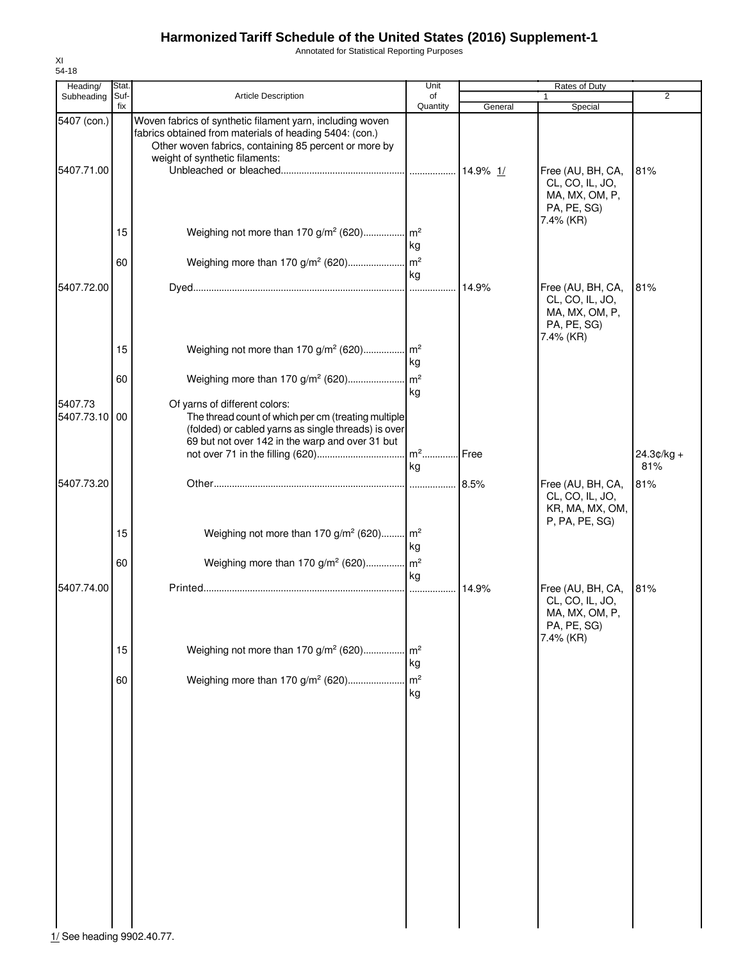Annotated for Statistical Reporting Purposes

| Heading/                   | Stat.    |                                                                                                                                                                                                | Unit                 |         | Rates of Duty                                                                      |                     |
|----------------------------|----------|------------------------------------------------------------------------------------------------------------------------------------------------------------------------------------------------|----------------------|---------|------------------------------------------------------------------------------------|---------------------|
| Subheading                 | Suf-     | <b>Article Description</b>                                                                                                                                                                     | of                   |         |                                                                                    | $\overline{2}$      |
| 5407 (con.)                | fix      | Woven fabrics of synthetic filament yarn, including woven<br>fabrics obtained from materials of heading 5404: (con.)<br>Other woven fabrics, containing 85 percent or more by                  | Quantity             | General | Special                                                                            |                     |
| 5407.71.00                 |          | weight of synthetic filaments:                                                                                                                                                                 |                      |         | Free (AU, BH, CA,<br>CL, CO, IL, JO,<br>MA, MX, OM, P,<br>PA, PE, SG)<br>7.4% (KR) | 81%                 |
|                            | 15       | Weighing not more than 170 g/m <sup>2</sup> (620) m <sup>2</sup>                                                                                                                               | kg                   |         |                                                                                    |                     |
|                            | 60       |                                                                                                                                                                                                | kg                   |         |                                                                                    |                     |
| 5407.72.00                 |          |                                                                                                                                                                                                |                      | 14.9%   | Free (AU, BH, CA,<br>CL, CO, IL, JO,<br>MA, MX, OM, P,<br>PA, PE, SG)<br>7.4% (KR) | 81%                 |
|                            | 15       | Weighing not more than 170 g/m <sup>2</sup> (620) m <sup>2</sup>                                                                                                                               | kg                   |         |                                                                                    |                     |
|                            | 60       |                                                                                                                                                                                                | kg                   |         |                                                                                    |                     |
| 5407.73<br>5407.73.10      | 00       | Of yarns of different colors:<br>The thread count of which per cm (treating multiple<br>(folded) or cabled yarns as single threads) is over<br>69 but not over 142 in the warp and over 31 but | kg                   |         |                                                                                    | $24.3¢/kg +$<br>81% |
| 5407.73.20                 |          |                                                                                                                                                                                                |                      |         | Free (AU, BH, CA,                                                                  | 81%                 |
|                            | 15<br>60 | Weighing not more than 170 $g/m^2$ (620) $m^2$<br>Weighing more than 170 g/m <sup>2</sup> (620) m <sup>2</sup>                                                                                 | kg                   |         | CL, CO, IL, JO,<br>KR, MA, MX, OM,<br>P, PA, PE, SG)                               |                     |
| 5407.74.00                 |          |                                                                                                                                                                                                | ka                   | 14.9%   | Free (AU, BH, CA,<br>CL, CO, IL, JO,<br>MA, MX, OM, P,<br>PA, PE, SG)<br>7.4% (KR) | 81%                 |
|                            | 15       | Weighing not more than 170 $g/m^2$ (620) m <sup>2</sup>                                                                                                                                        | kg                   |         |                                                                                    |                     |
|                            | 60       | Weighing more than 170 g/m <sup>2</sup> (620)                                                                                                                                                  | m <sup>2</sup><br>kg |         |                                                                                    |                     |
| 1/ See heading 9902.40.77. |          |                                                                                                                                                                                                |                      |         |                                                                                    |                     |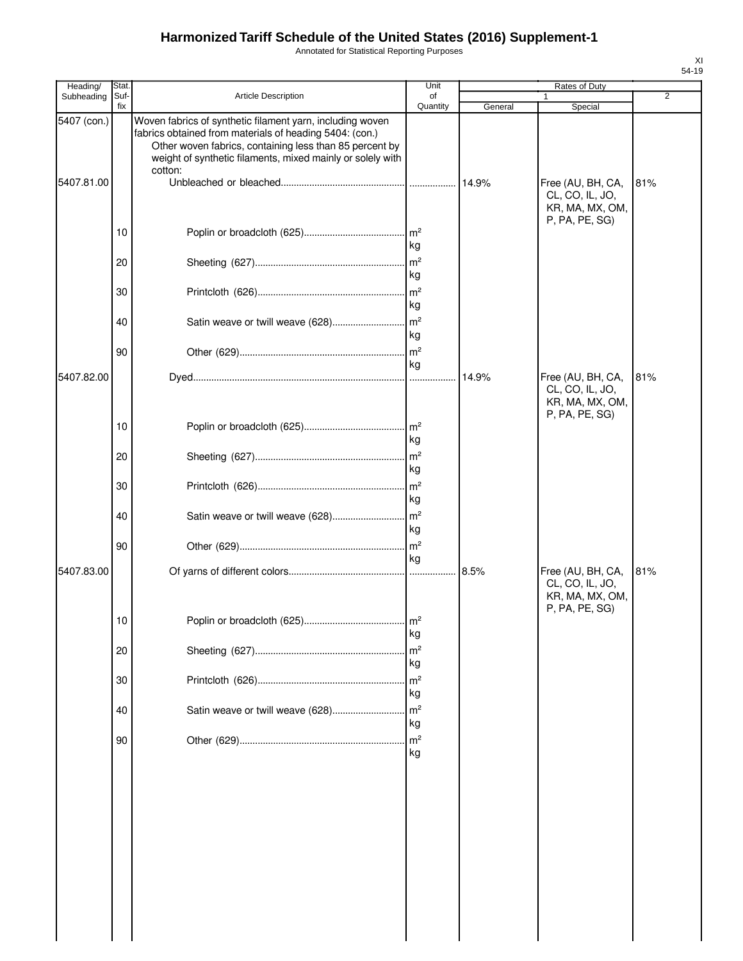Annotated for Statistical Reporting Purposes

| Heading/    | Stat.       |                                                                                                                                                                                                                                                          | Unit                  |         | Rates of Duty                                                             |                |
|-------------|-------------|----------------------------------------------------------------------------------------------------------------------------------------------------------------------------------------------------------------------------------------------------------|-----------------------|---------|---------------------------------------------------------------------------|----------------|
| Subheading  | Suf-<br>fix | <b>Article Description</b>                                                                                                                                                                                                                               | of<br>Quantity        | General | Special                                                                   | $\overline{2}$ |
| 5407 (con.) |             | Woven fabrics of synthetic filament yarn, including woven<br>fabrics obtained from materials of heading 5404: (con.)<br>Other woven fabrics, containing less than 85 percent by<br>weight of synthetic filaments, mixed mainly or solely with<br>cotton: |                       |         |                                                                           |                |
| 5407.81.00  |             |                                                                                                                                                                                                                                                          |                       | 14.9%   | Free (AU, BH, CA,<br>CL, CO, IL, JO,<br>KR, MA, MX, OM,<br>P, PA, PE, SG) | 81%            |
|             | 10          |                                                                                                                                                                                                                                                          | $\mathsf{Im}^2$<br>kg |         |                                                                           |                |
|             | 20          |                                                                                                                                                                                                                                                          | m <sup>2</sup><br>kg  |         |                                                                           |                |
|             | 30          |                                                                                                                                                                                                                                                          | m <sup>2</sup><br>kg  |         |                                                                           |                |
|             | 40          | Satin weave or twill weave (628)                                                                                                                                                                                                                         | $\mathsf{Im}^2$<br>kg |         |                                                                           |                |
|             | 90          |                                                                                                                                                                                                                                                          | $\mathsf{Im}^2$<br>kg |         |                                                                           |                |
| 5407.82.00  |             |                                                                                                                                                                                                                                                          |                       | 14.9%   | Free (AU, BH, CA,<br>CL, CO, IL, JO,<br>KR, MA, MX, OM,<br>P, PA, PE, SG) | 81%            |
|             | 10          |                                                                                                                                                                                                                                                          | $\mathsf{Im}^2$<br>kg |         |                                                                           |                |
|             | 20          |                                                                                                                                                                                                                                                          | $\mathsf{m}^2$<br>kg  |         |                                                                           |                |
|             | 30          |                                                                                                                                                                                                                                                          | kg                    |         |                                                                           |                |
|             | 40          | Satin weave or twill weave (628)                                                                                                                                                                                                                         | m <sup>2</sup><br>kg  |         |                                                                           |                |
| 5407.83.00  | 90          |                                                                                                                                                                                                                                                          | m <sup>2</sup><br>ka  | 8.5%    |                                                                           | 81%            |
|             |             |                                                                                                                                                                                                                                                          |                       |         | Free (AU, BH, CA,<br>CL, CO, IL, JO,<br>KR, MA, MX, OM,<br>P, PA, PE, SG) |                |
|             | 10          |                                                                                                                                                                                                                                                          | $\mathsf{I}^2$<br>kg  |         |                                                                           |                |
|             | 20          |                                                                                                                                                                                                                                                          | m <sup>2</sup><br>kg  |         |                                                                           |                |
|             | 30          |                                                                                                                                                                                                                                                          | m <sup>2</sup><br>kg  |         |                                                                           |                |
|             | 40          | Satin weave or twill weave (628)                                                                                                                                                                                                                         | m <sup>2</sup><br>kg  |         |                                                                           |                |
|             | 90          |                                                                                                                                                                                                                                                          | m <sup>2</sup><br>kg  |         |                                                                           |                |
|             |             |                                                                                                                                                                                                                                                          |                       |         |                                                                           |                |
|             |             |                                                                                                                                                                                                                                                          |                       |         |                                                                           |                |
|             |             |                                                                                                                                                                                                                                                          |                       |         |                                                                           |                |
|             |             |                                                                                                                                                                                                                                                          |                       |         |                                                                           |                |
|             |             |                                                                                                                                                                                                                                                          |                       |         |                                                                           |                |
|             |             |                                                                                                                                                                                                                                                          |                       |         |                                                                           |                |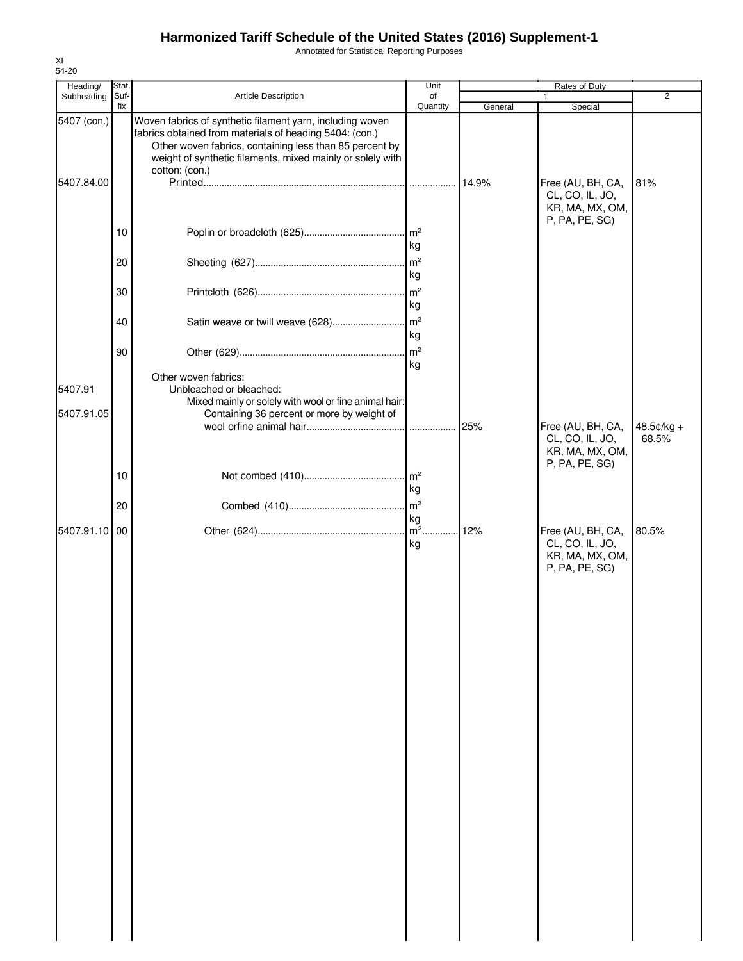Annotated for Statistical Reporting Purposes

| Heading/    | Stat.<br>Suf- |                                                                                                                                                                                                                                               | Unit                  |         | Rates of Duty                                                             | 2                   |
|-------------|---------------|-----------------------------------------------------------------------------------------------------------------------------------------------------------------------------------------------------------------------------------------------|-----------------------|---------|---------------------------------------------------------------------------|---------------------|
| Subheading  | fix           | Article Description                                                                                                                                                                                                                           | of<br>Quantity        | General | Special                                                                   |                     |
| 5407 (con.) |               | Woven fabrics of synthetic filament yarn, including woven<br>fabrics obtained from materials of heading 5404: (con.)<br>Other woven fabrics, containing less than 85 percent by<br>weight of synthetic filaments, mixed mainly or solely with |                       |         |                                                                           |                     |
| 5407.84.00  |               | cotton: (con.)                                                                                                                                                                                                                                |                       | 14.9%   | Free (AU, BH, CA,<br>CL, CO, IL, JO,<br>KR, MA, MX, OM,<br>P, PA, PE, SG) | 81%                 |
|             | 10            |                                                                                                                                                                                                                                               | kg                    |         |                                                                           |                     |
|             | 20            |                                                                                                                                                                                                                                               | $\mathsf{Im}^2$<br>kg |         |                                                                           |                     |
|             | 30            |                                                                                                                                                                                                                                               | m <sup>2</sup><br>kg  |         |                                                                           |                     |
|             | 40            | Satin weave or twill weave (628)                                                                                                                                                                                                              | $\mathsf{m}^2$<br>kg  |         |                                                                           |                     |
|             | 90            |                                                                                                                                                                                                                                               | $\mathsf{m}^2$<br>kg  |         |                                                                           |                     |
| 5407.91     |               | Other woven fabrics:<br>Unbleached or bleached:<br>Mixed mainly or solely with wool or fine animal hair:                                                                                                                                      |                       |         |                                                                           |                     |
| 5407.91.05  |               | Containing 36 percent or more by weight of                                                                                                                                                                                                    | .                     | 25%     | Free (AU, BH, CA,<br>CL, CO, IL, JO,                                      | 48.5¢/kg +<br>68.5% |
|             | 10            |                                                                                                                                                                                                                                               |                       |         | KR, MA, MX, OM,<br>P, PA, PE, SG)                                         |                     |
|             | 20            |                                                                                                                                                                                                                                               | kg<br>$\mathsf{Im}^2$ |         |                                                                           |                     |
| 5407.91.10  | 00            |                                                                                                                                                                                                                                               | kg<br>kg              |         | Free (AU, BH, CA,<br>CL, CO, IL, JO,<br>KR, MA, MX, OM,<br>P, PA, PE, SG) | 80.5%               |
|             |               |                                                                                                                                                                                                                                               |                       |         |                                                                           |                     |
|             |               |                                                                                                                                                                                                                                               |                       |         |                                                                           |                     |
|             |               |                                                                                                                                                                                                                                               |                       |         |                                                                           |                     |
|             |               |                                                                                                                                                                                                                                               |                       |         |                                                                           |                     |
|             |               |                                                                                                                                                                                                                                               |                       |         |                                                                           |                     |
|             |               |                                                                                                                                                                                                                                               |                       |         |                                                                           |                     |
|             |               |                                                                                                                                                                                                                                               |                       |         |                                                                           |                     |
|             |               |                                                                                                                                                                                                                                               |                       |         |                                                                           |                     |
|             |               |                                                                                                                                                                                                                                               |                       |         |                                                                           |                     |
|             |               |                                                                                                                                                                                                                                               |                       |         |                                                                           |                     |
|             |               |                                                                                                                                                                                                                                               |                       |         |                                                                           |                     |

XI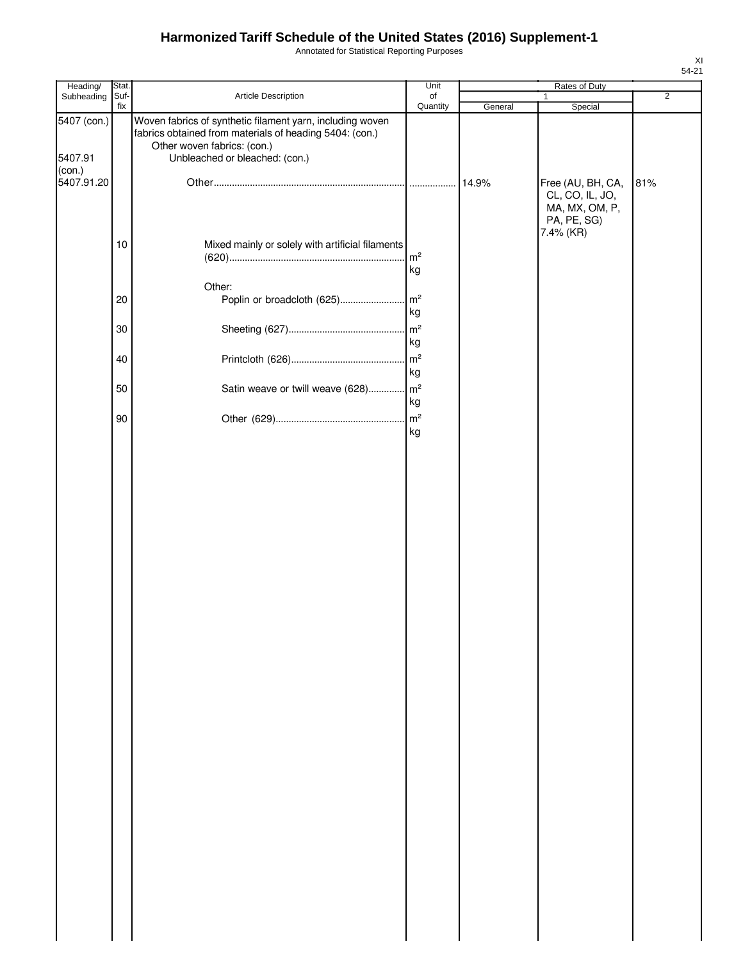Annotated for Statistical Reporting Purposes

| Heading/               | Stat.       |                                                                                                                                                                                       | Unit                       |         | Rates of Duty                                                                      |                |
|------------------------|-------------|---------------------------------------------------------------------------------------------------------------------------------------------------------------------------------------|----------------------------|---------|------------------------------------------------------------------------------------|----------------|
| Subheading             | Suf-<br>fix | Article Description                                                                                                                                                                   | of<br>Quantity             |         | $\mathbf{1}$                                                                       | $\overline{2}$ |
| 5407 (con.)<br>5407.91 |             | Woven fabrics of synthetic filament yarn, including woven<br>fabrics obtained from materials of heading 5404: (con.)<br>Other woven fabrics: (con.)<br>Unbleached or bleached: (con.) |                            | General | Special                                                                            |                |
| (con.)<br>5407.91.20   |             |                                                                                                                                                                                       |                            | 14.9%   | Free (AU, BH, CA,<br>CL, CO, IL, JO,<br>MA, MX, OM, P,<br>PA, PE, SG)<br>7.4% (KR) | 81%            |
|                        | $10$        | Mixed mainly or solely with artificial filaments                                                                                                                                      | $\mathsf{m}^2$<br>kg       |         |                                                                                    |                |
|                        | 20          | Other:<br>Poplin or broadcloth (625)                                                                                                                                                  | $\mathsf{Im}^2$<br>kg      |         |                                                                                    |                |
|                        | $30\,$      |                                                                                                                                                                                       | kg<br>$\mathsf{m}^2$       |         |                                                                                    |                |
|                        | 40<br>50    | Satin weave or twill weave (628)                                                                                                                                                      | kg<br>$\mathsf{m}^2$       |         |                                                                                    |                |
|                        | 90          |                                                                                                                                                                                       | kg<br>$\mathsf{m}^2$<br>kg |         |                                                                                    |                |
|                        |             |                                                                                                                                                                                       |                            |         |                                                                                    |                |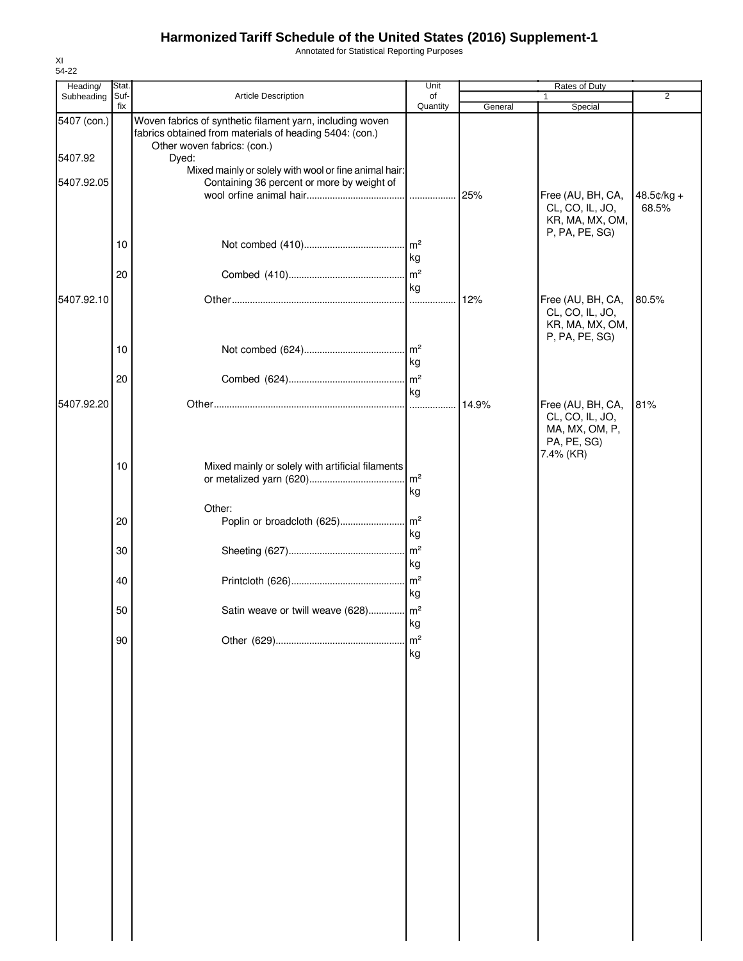Annotated for Statistical Reporting Purposes

| Heading/    | Stat.       |                                                                                                                      | Unit                        |         | Rates of Duty                                                                      |            |
|-------------|-------------|----------------------------------------------------------------------------------------------------------------------|-----------------------------|---------|------------------------------------------------------------------------------------|------------|
| Subheading  | Suf-<br>fix | Article Description                                                                                                  | of<br>Quantity              | General | 1<br>Special                                                                       | 2          |
| 5407 (con.) |             | Woven fabrics of synthetic filament yarn, including woven<br>fabrics obtained from materials of heading 5404: (con.) |                             |         |                                                                                    |            |
| 5407.92     |             | Other woven fabrics: (con.)<br>Dyed:                                                                                 |                             |         |                                                                                    |            |
| 5407.92.05  |             | Mixed mainly or solely with wool or fine animal hair:<br>Containing 36 percent or more by weight of                  |                             | 25%     | Free (AU, BH, CA,                                                                  | 48.5¢/kg + |
|             | 10          |                                                                                                                      |                             |         | CL, CO, IL, JO,<br>KR, MA, MX, OM,<br>P, PA, PE, SG)                               | 68.5%      |
|             | 20          |                                                                                                                      | kg<br>$\mathsf{m}^2$        |         |                                                                                    |            |
| 5407.92.10  |             |                                                                                                                      | kg                          | 12%     | Free (AU, BH, CA,                                                                  | 80.5%      |
|             |             |                                                                                                                      |                             |         | CL, CO, IL, JO,<br>KR, MA, MX, OM,<br>P, PA, PE, SG)                               |            |
|             | 10          |                                                                                                                      | kg                          |         |                                                                                    |            |
|             | 20          |                                                                                                                      | kg                          |         |                                                                                    |            |
| 5407.92.20  |             |                                                                                                                      |                             | 14.9%   | Free (AU, BH, CA,<br>CL, CO, IL, JO,<br>MA, MX, OM, P,<br>PA, PE, SG)<br>7.4% (KR) | 81%        |
|             | 10          | Mixed mainly or solely with artificial filaments                                                                     | $\text{Im}^2$<br>kg         |         |                                                                                    |            |
|             | 20          | Other:                                                                                                               |                             |         |                                                                                    |            |
|             | 30          |                                                                                                                      | kg<br>m <sup>2</sup>        |         |                                                                                    |            |
|             | 40          |                                                                                                                      | kg<br>$\mathsf{Im}^2$<br>kg |         |                                                                                    |            |
|             | 50          | Satin weave or twill weave (628) m <sup>2</sup>                                                                      | kg                          |         |                                                                                    |            |
|             | 90          |                                                                                                                      | m <sup>2</sup><br>kg        |         |                                                                                    |            |
|             |             |                                                                                                                      |                             |         |                                                                                    |            |
|             |             |                                                                                                                      |                             |         |                                                                                    |            |
|             |             |                                                                                                                      |                             |         |                                                                                    |            |
|             |             |                                                                                                                      |                             |         |                                                                                    |            |
|             |             |                                                                                                                      |                             |         |                                                                                    |            |
|             |             |                                                                                                                      |                             |         |                                                                                    |            |
|             |             |                                                                                                                      |                             |         |                                                                                    |            |
|             |             |                                                                                                                      |                             |         |                                                                                    |            |
|             |             |                                                                                                                      |                             |         |                                                                                    |            |
|             |             |                                                                                                                      |                             |         |                                                                                    |            |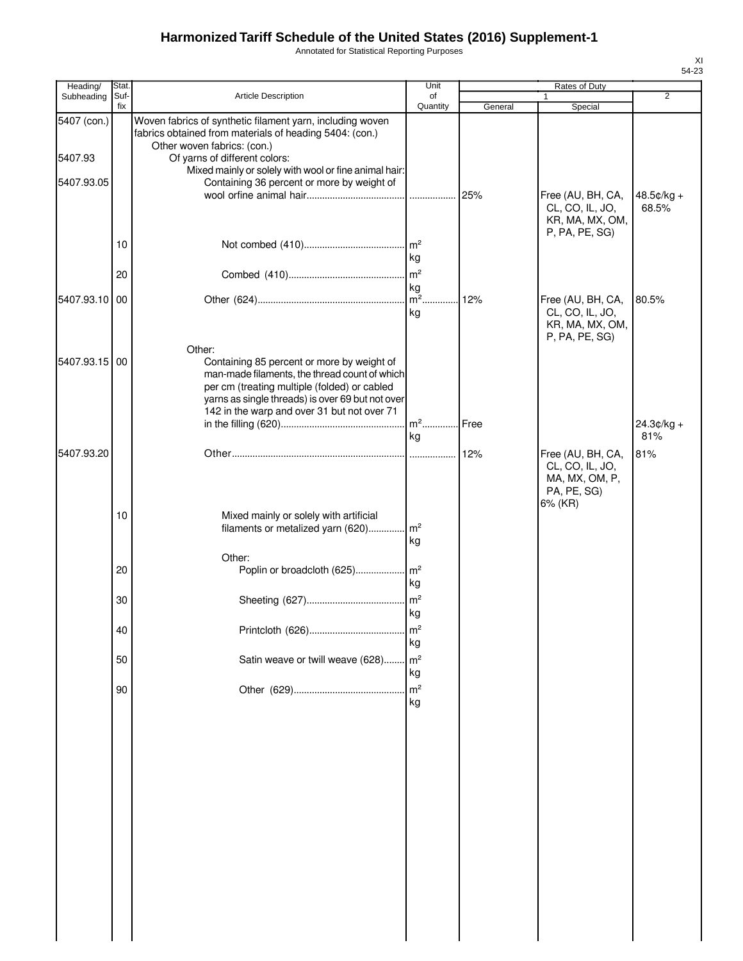Annotated for Statistical Reporting Purposes

| Heading/      | Stat.       |                                                                                                                                                                                                                                                          | Unit                                   |         | Rates of Duty                                                             |                     |
|---------------|-------------|----------------------------------------------------------------------------------------------------------------------------------------------------------------------------------------------------------------------------------------------------------|----------------------------------------|---------|---------------------------------------------------------------------------|---------------------|
| Subheading    | Suf-<br>fix | <b>Article Description</b>                                                                                                                                                                                                                               | of<br>Quantity                         | General | $\mathbf{1}$<br>Special                                                   | $\overline{2}$      |
| 5407 (con.)   |             | Woven fabrics of synthetic filament yarn, including woven<br>fabrics obtained from materials of heading 5404: (con.)<br>Other woven fabrics: (con.)                                                                                                      |                                        |         |                                                                           |                     |
| 5407.93       |             | Of yarns of different colors:                                                                                                                                                                                                                            |                                        |         |                                                                           |                     |
| 5407.93.05    |             | Mixed mainly or solely with wool or fine animal hair:                                                                                                                                                                                                    |                                        |         |                                                                           |                     |
|               |             | Containing 36 percent or more by weight of                                                                                                                                                                                                               |                                        | 25%     | Free (AU, BH, CA,<br>CL, CO, IL, JO,<br>KR, MA, MX, OM,<br>P, PA, PE, SG) | 48.5¢/kg +<br>68.5% |
|               | 10          |                                                                                                                                                                                                                                                          | kg                                     |         |                                                                           |                     |
|               | 20          |                                                                                                                                                                                                                                                          |                                        |         |                                                                           |                     |
| 5407.93.10 00 |             |                                                                                                                                                                                                                                                          | kg                                     | 12%     |                                                                           | 80.5%               |
|               |             |                                                                                                                                                                                                                                                          | kg                                     |         | Free (AU, BH, CA,<br>CL, CO, IL, JO,<br>KR, MA, MX, OM,<br>P, PA, PE, SG) |                     |
| 5407.93.15 00 |             | Other:<br>Containing 85 percent or more by weight of<br>man-made filaments, the thread count of which<br>per cm (treating multiple (folded) or cabled<br>yarns as single threads) is over 69 but not over<br>142 in the warp and over 31 but not over 71 |                                        |         |                                                                           | $24.3¢/kg +$        |
|               |             |                                                                                                                                                                                                                                                          | ka                                     |         |                                                                           | 81%                 |
| 5407.93.20    |             |                                                                                                                                                                                                                                                          |                                        | 12%     | Free (AU, BH, CA,                                                         | 81%                 |
|               | 10          | Mixed mainly or solely with artificial<br>filaments or metalized yarn (620)                                                                                                                                                                              | m <sup>2</sup>                         |         | CL, CO, IL, JO,<br>MA, MX, OM, P,<br>PA, PE, SG)<br>6% (KR)               |                     |
|               |             |                                                                                                                                                                                                                                                          | kg                                     |         |                                                                           |                     |
|               | 20          | Other:<br>Poplin or broadcloth (625)                                                                                                                                                                                                                     | m <sup>2</sup><br>kg                   |         |                                                                           |                     |
|               | 30          |                                                                                                                                                                                                                                                          | m <sup>2</sup><br>kg                   |         |                                                                           |                     |
|               | 40          |                                                                                                                                                                                                                                                          | m <sup>2</sup><br>kg                   |         |                                                                           |                     |
|               | 50          | Satin weave or twill weave (628)                                                                                                                                                                                                                         | m <sup>2</sup><br>kg<br>m <sup>2</sup> |         |                                                                           |                     |
|               | 90          |                                                                                                                                                                                                                                                          | kg                                     |         |                                                                           |                     |
|               |             |                                                                                                                                                                                                                                                          |                                        |         |                                                                           |                     |
|               |             |                                                                                                                                                                                                                                                          |                                        |         |                                                                           |                     |
|               |             |                                                                                                                                                                                                                                                          |                                        |         |                                                                           |                     |
|               |             |                                                                                                                                                                                                                                                          |                                        |         |                                                                           |                     |
|               |             |                                                                                                                                                                                                                                                          |                                        |         |                                                                           |                     |
|               |             |                                                                                                                                                                                                                                                          |                                        |         |                                                                           |                     |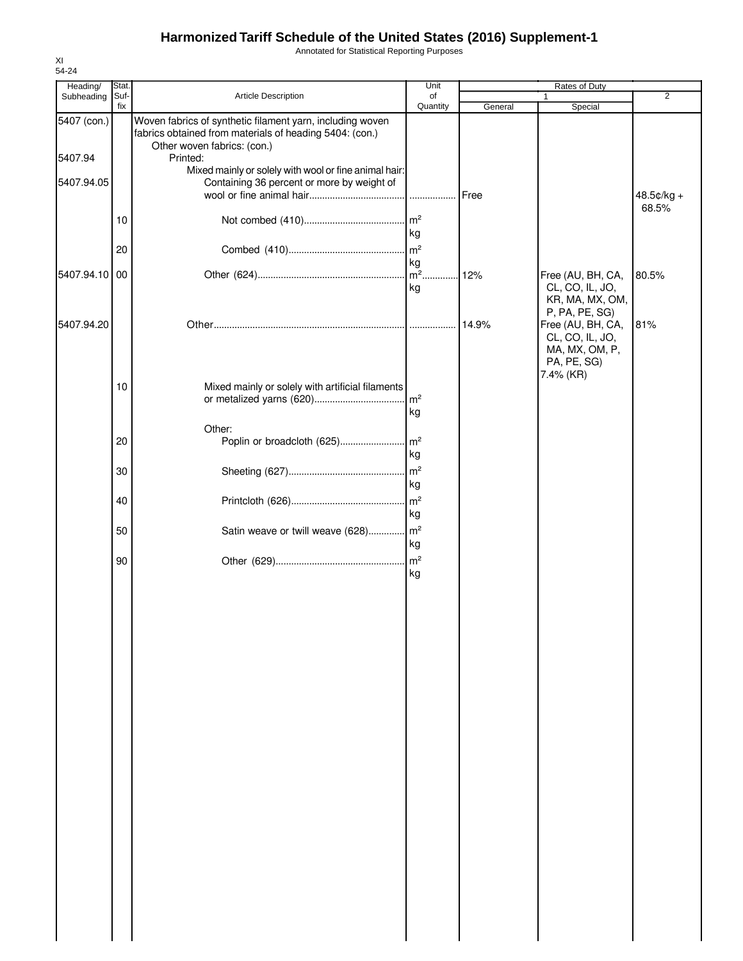Annotated for Statistical Reporting Purposes

| Heading/      | Stat.       |                                                                                                                      | Unit                  |         | <b>Rates of Duty</b>                                 |                        |
|---------------|-------------|----------------------------------------------------------------------------------------------------------------------|-----------------------|---------|------------------------------------------------------|------------------------|
| Subheading    | Suf-<br>fix | Article Description                                                                                                  | of<br>Quantity        | General | 1<br>Special                                         | $\overline{2}$         |
| 5407 (con.)   |             | Woven fabrics of synthetic filament yarn, including woven<br>fabrics obtained from materials of heading 5404: (con.) |                       |         |                                                      |                        |
| 5407.94       |             | Other woven fabrics: (con.)<br>Printed:                                                                              |                       |         |                                                      |                        |
| 5407.94.05    |             | Mixed mainly or solely with wool or fine animal hair:<br>Containing 36 percent or more by weight of                  |                       |         |                                                      |                        |
|               |             |                                                                                                                      |                       | Free    |                                                      | $48.5$ ¢/kg +<br>68.5% |
|               | 10          |                                                                                                                      | m <sup>2</sup><br>kg  |         |                                                      |                        |
|               | 20          |                                                                                                                      | m <sup>2</sup>        |         |                                                      |                        |
| 5407.94.10 00 |             |                                                                                                                      | kg<br>$m2$ .          | 12%     | Free (AU, BH, CA,                                    | 80.5%                  |
|               |             |                                                                                                                      | kg                    |         | CL, CO, IL, JO,<br>KR, MA, MX, OM,<br>P, PA, PE, SG) |                        |
| 5407.94.20    |             |                                                                                                                      |                       | 14.9%   | Free (AU, BH, CA,                                    | 81%                    |
|               |             |                                                                                                                      |                       |         | CL, CO, IL, JO,<br>MA, MX, OM, P,<br>PA, PE, SG)     |                        |
|               | 10          | Mixed mainly or solely with artificial filaments                                                                     | m <sup>2</sup>        |         | 7.4% (KR)                                            |                        |
|               |             |                                                                                                                      | kg                    |         |                                                      |                        |
|               | 20          | Other:<br>Poplin or broadcloth (625)                                                                                 | m <sup>2</sup><br>kg  |         |                                                      |                        |
|               | 30          |                                                                                                                      | m <sup>2</sup><br>kg  |         |                                                      |                        |
|               | 40          |                                                                                                                      | m <sup>2</sup><br>kg  |         |                                                      |                        |
|               | 50          | Satin weave or twill weave (628)                                                                                     | $\mathsf{Im}^2$<br>kg |         |                                                      |                        |
|               | 90          |                                                                                                                      | m <sup>2</sup><br>kg  |         |                                                      |                        |
|               |             |                                                                                                                      |                       |         |                                                      |                        |
|               |             |                                                                                                                      |                       |         |                                                      |                        |
|               |             |                                                                                                                      |                       |         |                                                      |                        |
|               |             |                                                                                                                      |                       |         |                                                      |                        |
|               |             |                                                                                                                      |                       |         |                                                      |                        |
|               |             |                                                                                                                      |                       |         |                                                      |                        |
|               |             |                                                                                                                      |                       |         |                                                      |                        |
|               |             |                                                                                                                      |                       |         |                                                      |                        |
|               |             |                                                                                                                      |                       |         |                                                      |                        |
|               |             |                                                                                                                      |                       |         |                                                      |                        |
|               |             |                                                                                                                      |                       |         |                                                      |                        |
|               |             |                                                                                                                      |                       |         |                                                      |                        |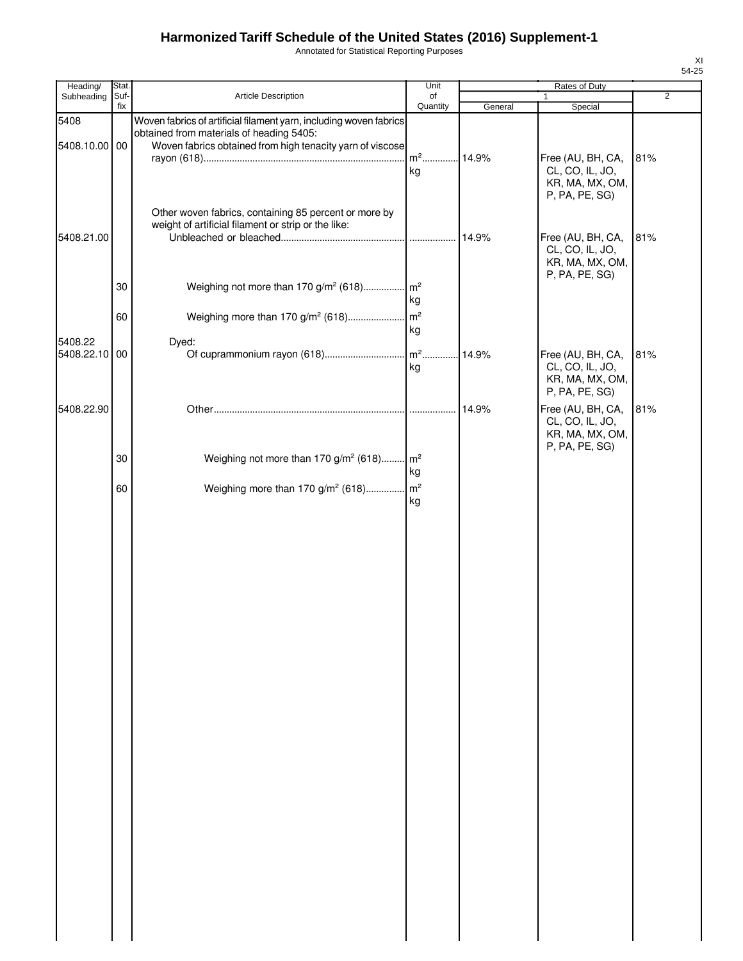Annotated for Statistical Reporting Purposes

| Heading/                 | Stat.       |                                                                                                                                                                             | Unit                 | Rates of Duty |                                                                           |                |  |
|--------------------------|-------------|-----------------------------------------------------------------------------------------------------------------------------------------------------------------------------|----------------------|---------------|---------------------------------------------------------------------------|----------------|--|
| Subheading               | Suf-<br>fix | Article Description                                                                                                                                                         | of<br>Quantity       |               | 1                                                                         | $\overline{2}$ |  |
| 5408<br>5408.10.00 00    |             | Woven fabrics of artificial filament yarn, including woven fabrics<br>obtained from materials of heading 5405:<br>Woven fabrics obtained from high tenacity yarn of viscose |                      | General       | Special                                                                   |                |  |
|                          |             |                                                                                                                                                                             | kg                   |               | Free (AU, BH, CA,<br>CL, CO, IL, JO,<br>KR, MA, MX, OM,<br>P, PA, PE, SG) | 81%            |  |
| 5408.21.00               |             | Other woven fabrics, containing 85 percent or more by<br>weight of artificial filament or strip or the like:                                                                | .                    | 14.9%         | Free (AU, BH, CA,<br>CL, CO, IL, JO,<br>KR, MA, MX, OM,<br>P, PA, PE, SG) | 81%            |  |
|                          | 30          | Weighing not more than 170 g/m <sup>2</sup> (618) m <sup>2</sup>                                                                                                            | kg                   |               |                                                                           |                |  |
|                          | 60          | Weighing more than 170 g/m <sup>2</sup> (618)                                                                                                                               | m <sup>2</sup><br>kg |               |                                                                           |                |  |
| 5408.22<br>5408.22.10 00 |             | Dyed:                                                                                                                                                                       | kg                   | 14.9%         | Free (AU, BH, CA,<br>CL, CO, IL, JO,<br>KR, MA, MX, OM,<br>P, PA, PE, SG) | 81%            |  |
| 5408.22.90               |             |                                                                                                                                                                             |                      | 14.9%         | Free (AU, BH, CA,<br>CL, CO, IL, JO,<br>KR, MA, MX, OM,<br>P, PA, PE, SG) | 81%            |  |
|                          | 30          | Weighing not more than 170 g/m <sup>2</sup> (618) m <sup>2</sup>                                                                                                            | kg                   |               |                                                                           |                |  |
|                          | 60          | Weighing more than 170 g/m <sup>2</sup> (618)                                                                                                                               | m <sup>2</sup><br>kg |               |                                                                           |                |  |
|                          |             |                                                                                                                                                                             |                      |               |                                                                           |                |  |
|                          |             |                                                                                                                                                                             |                      |               |                                                                           |                |  |
|                          |             |                                                                                                                                                                             |                      |               |                                                                           |                |  |
|                          |             |                                                                                                                                                                             |                      |               |                                                                           |                |  |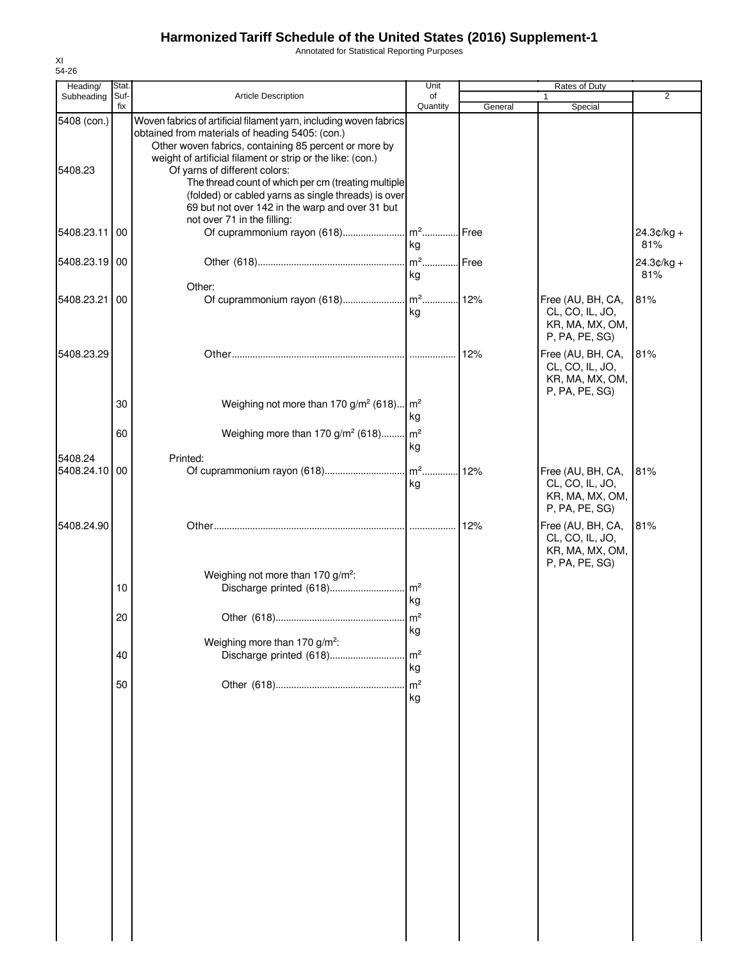Annotated for Statistical Reporting Purposes

| Heading/               | Stat.       |                                                                                                                                                                                                                                                                                                                                                                                                                                                | Unit                       |         | Rates of Duty                                                             |                     |
|------------------------|-------------|------------------------------------------------------------------------------------------------------------------------------------------------------------------------------------------------------------------------------------------------------------------------------------------------------------------------------------------------------------------------------------------------------------------------------------------------|----------------------------|---------|---------------------------------------------------------------------------|---------------------|
| Subheading             | Suf-<br>fix | <b>Article Description</b>                                                                                                                                                                                                                                                                                                                                                                                                                     | of<br>Quantity             | General | Special                                                                   | $\overline{2}$      |
| 5408 (con.)<br>5408.23 |             | Woven fabrics of artificial filament yarn, including woven fabrics<br>obtained from materials of heading 5405: (con.)<br>Other woven fabrics, containing 85 percent or more by<br>weight of artificial filament or strip or the like: (con.)<br>Of yarns of different colors:<br>The thread count of which per cm (treating multiple<br>(folded) or cabled yarns as single threads) is over<br>69 but not over 142 in the warp and over 31 but |                            |         |                                                                           |                     |
| 5408.23.11             | 00          | not over 71 in the filling:                                                                                                                                                                                                                                                                                                                                                                                                                    | kg                         |         |                                                                           | $24.3¢/kg +$<br>81% |
| 5408.23.19 00          |             |                                                                                                                                                                                                                                                                                                                                                                                                                                                | .lm2<br>kg                 | Free    |                                                                           | $24.3¢/kg +$<br>81% |
| 5408.23.21             | 00          | Other:                                                                                                                                                                                                                                                                                                                                                                                                                                         | kg                         |         | Free (AU, BH, CA,<br>CL, CO, IL, JO,<br>KR, MA, MX, OM,<br>P, PA, PE, SG) | 81%                 |
| 5408.23.29             |             |                                                                                                                                                                                                                                                                                                                                                                                                                                                |                            | 12%     | Free (AU, BH, CA,<br>CL, CO, IL, JO,<br>KR, MA, MX, OM,<br>P, PA, PE, SG) | 81%                 |
|                        | 30<br>60    | Weighing not more than 170 g/m <sup>2</sup> (618) m <sup>2</sup><br>Weighing more than 170 $g/m^2$ (618) $m^2$                                                                                                                                                                                                                                                                                                                                 | kg                         |         |                                                                           |                     |
| 5408.24                |             | Printed:                                                                                                                                                                                                                                                                                                                                                                                                                                       | kg                         |         |                                                                           |                     |
| 5408.24.10             | 00          |                                                                                                                                                                                                                                                                                                                                                                                                                                                | kg                         | .12%    | Free (AU, BH, CA,<br>CL, CO, IL, JO,<br>KR, MA, MX, OM,<br>P, PA, PE, SG) | 81%                 |
| 5408.24.90             |             |                                                                                                                                                                                                                                                                                                                                                                                                                                                |                            | 12%     | Free (AU, BH, CA,<br>CL, CO, IL, JO,<br>KR, MA, MX, OM,                   | 81%                 |
|                        | 10          | Weighing not more than 170 g/m <sup>2</sup> :                                                                                                                                                                                                                                                                                                                                                                                                  | $\text{Im}^2$              |         | P, PA, PE, SG)                                                            |                     |
|                        | 20          | Other (618)                                                                                                                                                                                                                                                                                                                                                                                                                                    | kg<br>m <sup>2</sup><br>kg |         |                                                                           |                     |
|                        | 40          | Weighing more than 170 g/m <sup>2</sup> :<br>Discharge printed (618)                                                                                                                                                                                                                                                                                                                                                                           | m <sup>2</sup><br>kg       |         |                                                                           |                     |
|                        | 50          |                                                                                                                                                                                                                                                                                                                                                                                                                                                | m <sup>2</sup><br>kg       |         |                                                                           |                     |
|                        |             |                                                                                                                                                                                                                                                                                                                                                                                                                                                |                            |         |                                                                           |                     |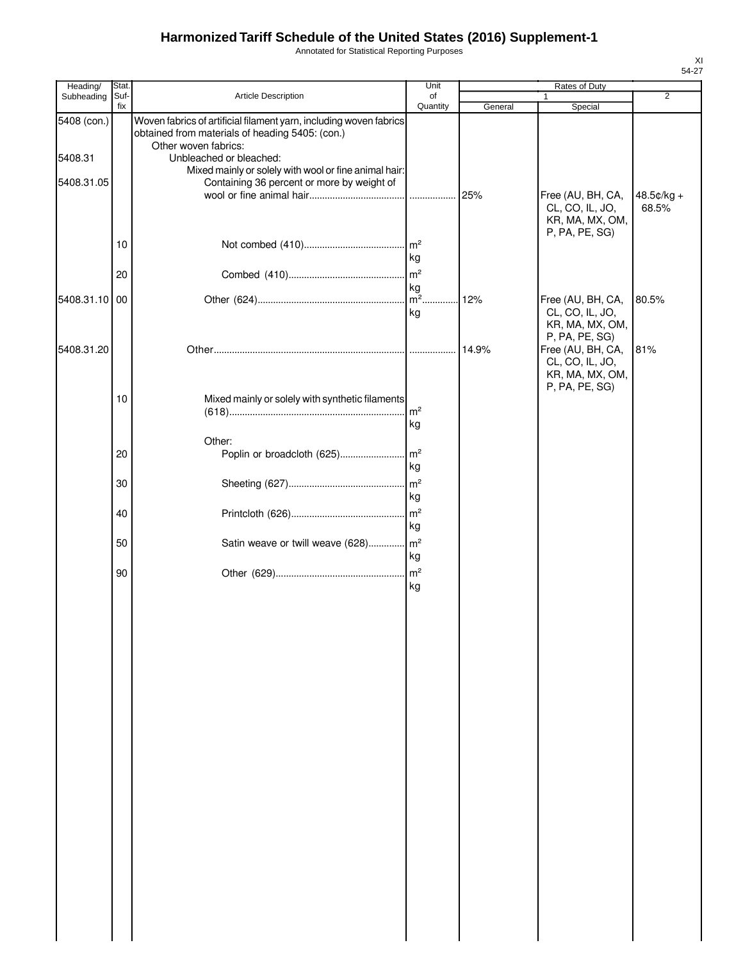Annotated for Statistical Reporting Purposes

| Heading/      | Stat. |                                                                                                     | Unit                 |         | Rates of Duty                                           |                       |
|---------------|-------|-----------------------------------------------------------------------------------------------------|----------------------|---------|---------------------------------------------------------|-----------------------|
| Subheading    | Suf-  | Article Description                                                                                 | of                   |         | 1                                                       | $\overline{2}$        |
| 5408 (con.)   | fix   | Woven fabrics of artificial filament yarn, including woven fabrics                                  | Quantity             | General | Special                                                 |                       |
|               |       | obtained from materials of heading 5405: (con.)<br>Other woven fabrics:                             |                      |         |                                                         |                       |
| 5408.31       |       | Unbleached or bleached:                                                                             |                      |         |                                                         |                       |
| 5408.31.05    |       | Mixed mainly or solely with wool or fine animal hair:<br>Containing 36 percent or more by weight of |                      |         |                                                         |                       |
|               |       |                                                                                                     | .                    | 25%     | Free (AU, BH, CA,<br>CL, CO, IL, JO,<br>KR, MA, MX, OM, | $48.5¢/kg +$<br>68.5% |
|               |       |                                                                                                     |                      |         | P, PA, PE, SG)                                          |                       |
|               | 10    |                                                                                                     | kg                   |         |                                                         |                       |
|               | 20    |                                                                                                     | m <sup>2</sup>       |         |                                                         |                       |
|               |       |                                                                                                     | kg                   |         |                                                         |                       |
| 5408.31.10 00 |       |                                                                                                     | $m^2$<br>kg          | 12%     | Free (AU, BH, CA,<br>CL, CO, IL, JO,<br>KR, MA, MX, OM, | 80.5%                 |
|               |       |                                                                                                     |                      |         | P, PA, PE, SG)                                          |                       |
| 5408.31.20    |       |                                                                                                     |                      | 14.9%   | Free (AU, BH, CA,<br>CL, CO, IL, JO,<br>KR, MA, MX, OM, | 81%                   |
|               | 10    | Mixed mainly or solely with synthetic filaments                                                     |                      |         | P, PA, PE, SG)                                          |                       |
|               |       |                                                                                                     | $\mathsf{Im}^2$      |         |                                                         |                       |
|               |       |                                                                                                     | kg                   |         |                                                         |                       |
|               | 20    | Other:<br>Poplin or broadcloth (625)                                                                | m <sup>2</sup>       |         |                                                         |                       |
|               |       |                                                                                                     | kg                   |         |                                                         |                       |
|               | 30    |                                                                                                     | $\mathsf{m}^2$       |         |                                                         |                       |
|               |       |                                                                                                     | kg                   |         |                                                         |                       |
|               | 40    |                                                                                                     | $\mathsf{m}^2$<br>kg |         |                                                         |                       |
|               | 50    | Satin weave or twill weave (628) m <sup>2</sup>                                                     |                      |         |                                                         |                       |
|               |       |                                                                                                     | kg                   |         |                                                         |                       |
|               | 90    |                                                                                                     | m <sup>2</sup>       |         |                                                         |                       |
|               |       |                                                                                                     | kg                   |         |                                                         |                       |
|               |       |                                                                                                     |                      |         |                                                         |                       |
|               |       |                                                                                                     |                      |         |                                                         |                       |
|               |       |                                                                                                     |                      |         |                                                         |                       |
|               |       |                                                                                                     |                      |         |                                                         |                       |
|               |       |                                                                                                     |                      |         |                                                         |                       |
|               |       |                                                                                                     |                      |         |                                                         |                       |
|               |       |                                                                                                     |                      |         |                                                         |                       |
|               |       |                                                                                                     |                      |         |                                                         |                       |
|               |       |                                                                                                     |                      |         |                                                         |                       |
|               |       |                                                                                                     |                      |         |                                                         |                       |
|               |       |                                                                                                     |                      |         |                                                         |                       |
|               |       |                                                                                                     |                      |         |                                                         |                       |
|               |       |                                                                                                     |                      |         |                                                         |                       |
|               |       |                                                                                                     |                      |         |                                                         |                       |
|               |       |                                                                                                     |                      |         |                                                         |                       |
|               |       |                                                                                                     |                      |         |                                                         |                       |
|               |       |                                                                                                     |                      |         |                                                         |                       |
|               |       |                                                                                                     |                      |         |                                                         |                       |
|               |       |                                                                                                     |                      |         |                                                         |                       |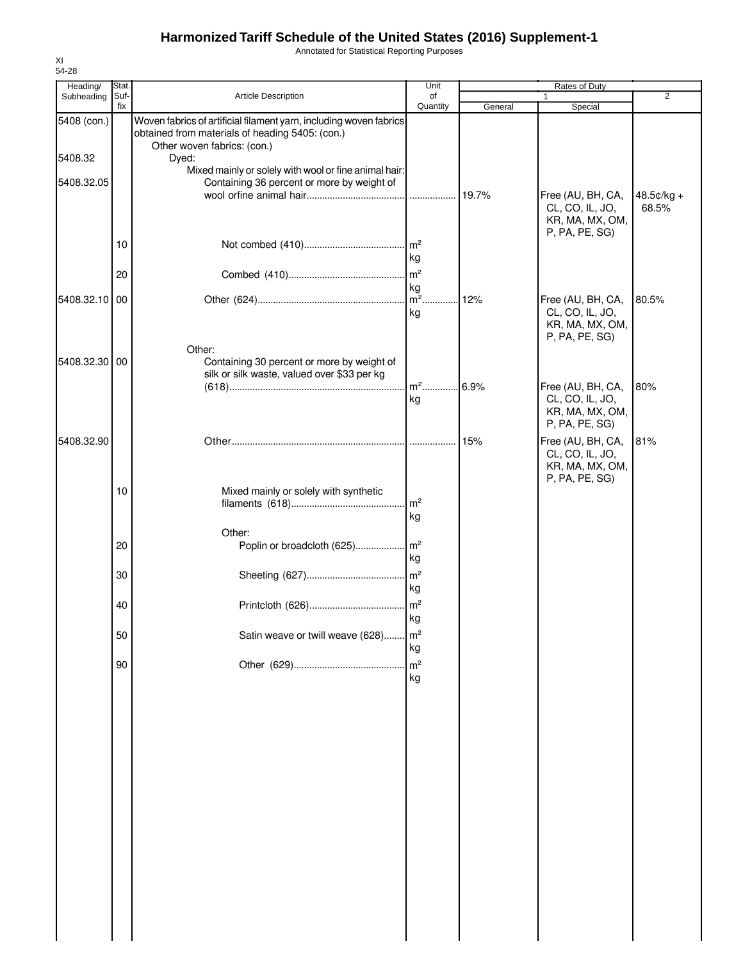Annotated for Statistical Reporting Purposes

| Heading/      | Stat.       |                                                                                                                                                      | Unit                  |         | Rates of Duty                                                             |                     |
|---------------|-------------|------------------------------------------------------------------------------------------------------------------------------------------------------|-----------------------|---------|---------------------------------------------------------------------------|---------------------|
| Subheading    | Suf-<br>fix | Article Description                                                                                                                                  | of<br>Quantity        | General | Special                                                                   | 2                   |
| 5408 (con.)   |             | Woven fabrics of artificial filament yarn, including woven fabrics<br>obtained from materials of heading 5405: (con.)<br>Other woven fabrics: (con.) |                       |         |                                                                           |                     |
| 5408.32       |             | Dyed:<br>Mixed mainly or solely with wool or fine animal hair:                                                                                       |                       |         |                                                                           |                     |
| 5408.32.05    |             | Containing 36 percent or more by weight of                                                                                                           |                       | 19.7%   | Free (AU, BH, CA,<br>CL, CO, IL, JO,                                      | 48.5¢/kg +<br>68.5% |
|               | 10          |                                                                                                                                                      |                       |         | KR, MA, MX, OM,<br>P, PA, PE, SG)                                         |                     |
|               | 20          |                                                                                                                                                      | kg<br>$\mathsf{Im}^2$ |         |                                                                           |                     |
| 5408.32.10 00 |             |                                                                                                                                                      | kg<br>$\mathsf{m}^2$  | .12%    | Free (AU, BH, CA,                                                         | 80.5%               |
|               |             |                                                                                                                                                      | kg                    |         | CL, CO, IL, JO,<br>KR, MA, MX, OM,<br>P, PA, PE, SG)                      |                     |
| 5408.32.30 00 |             | Other:<br>Containing 30 percent or more by weight of<br>silk or silk waste, valued over \$33 per kg                                                  |                       |         |                                                                           |                     |
|               |             |                                                                                                                                                      | $m^2$<br>kg           | 6.9%    | Free (AU, BH, CA,<br>CL, CO, IL, JO,<br>KR, MA, MX, OM,<br>P, PA, PE, SG) | 80%                 |
| 5408.32.90    |             |                                                                                                                                                      |                       | 15%     | Free (AU, BH, CA,<br>CL, CO, IL, JO,<br>KR, MA, MX, OM,<br>P, PA, PE, SG) | 81%                 |
|               | 10          | Mixed mainly or solely with synthetic                                                                                                                | $\mathsf{Im}^2$<br>kg |         |                                                                           |                     |
|               | 20          | Other:                                                                                                                                               | kg                    |         |                                                                           |                     |
|               | 30          |                                                                                                                                                      | $\mathsf{Im}^2$<br>kg |         |                                                                           |                     |
|               | 40          |                                                                                                                                                      | kg                    |         |                                                                           |                     |
|               | 50          | Satin weave or twill weave (628)                                                                                                                     | $\mathsf{m}^2$<br>kg  |         |                                                                           |                     |
|               | 90          |                                                                                                                                                      | m <sup>2</sup><br>kg  |         |                                                                           |                     |
|               |             |                                                                                                                                                      |                       |         |                                                                           |                     |
|               |             |                                                                                                                                                      |                       |         |                                                                           |                     |
|               |             |                                                                                                                                                      |                       |         |                                                                           |                     |
|               |             |                                                                                                                                                      |                       |         |                                                                           |                     |
|               |             |                                                                                                                                                      |                       |         |                                                                           |                     |
|               |             |                                                                                                                                                      |                       |         |                                                                           |                     |
|               |             |                                                                                                                                                      |                       |         |                                                                           |                     |
|               |             |                                                                                                                                                      |                       |         |                                                                           |                     |

XI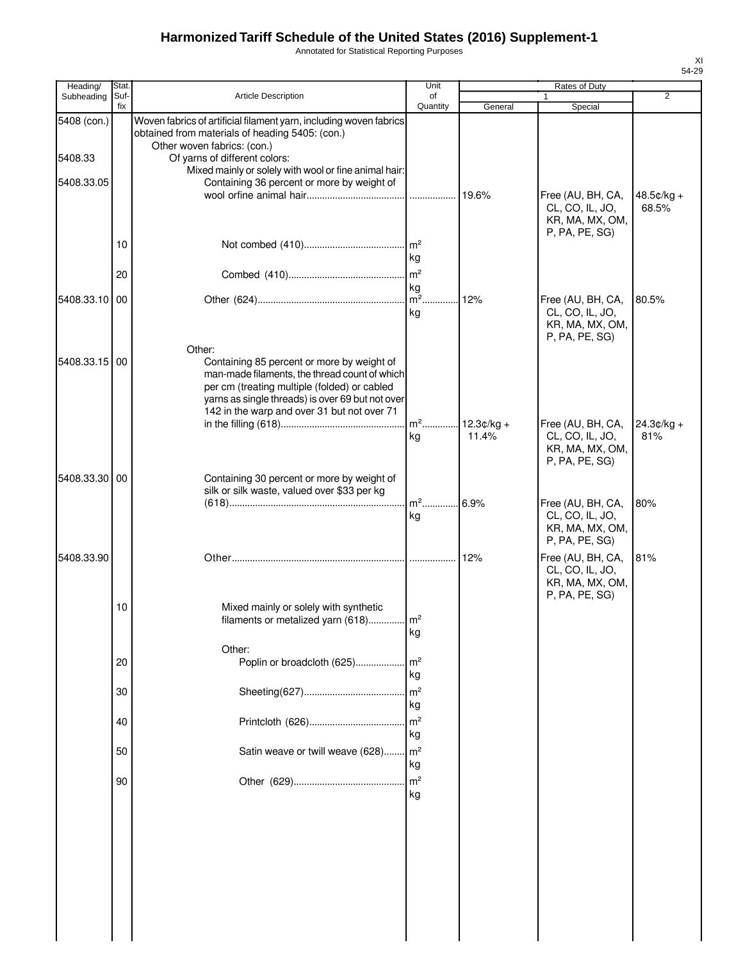Annotated for Statistical Reporting Purposes

| Heading/      | Stat.       |                                                                                                                                                       | Unit                 |                       | Rates of Duty                                                             |                       |
|---------------|-------------|-------------------------------------------------------------------------------------------------------------------------------------------------------|----------------------|-----------------------|---------------------------------------------------------------------------|-----------------------|
| Subheading    | Suf-<br>fix | <b>Article Description</b>                                                                                                                            | of<br>Quantity       | General               | Special                                                                   | $\overline{2}$        |
| 5408 (con.)   |             | Woven fabrics of artificial filament yarn, including woven fabrics<br>obtained from materials of heading 5405: (con.)                                 |                      |                       |                                                                           |                       |
| 5408.33       |             | Other woven fabrics: (con.)<br>Of yarns of different colors:                                                                                          |                      |                       |                                                                           |                       |
|               |             | Mixed mainly or solely with wool or fine animal hair:                                                                                                 |                      |                       |                                                                           |                       |
| 5408.33.05    |             | Containing 36 percent or more by weight of                                                                                                            |                      |                       |                                                                           |                       |
|               |             |                                                                                                                                                       |                      | 19.6%                 | Free (AU, BH, CA,<br>CL, CO, IL, JO,<br>KR, MA, MX, OM,<br>P, PA, PE, SG) | $48.5¢/kg +$<br>68.5% |
|               | 10          |                                                                                                                                                       | $\mathsf{Im}^2$      |                       |                                                                           |                       |
|               |             |                                                                                                                                                       | kg                   |                       |                                                                           |                       |
|               | 20          |                                                                                                                                                       | m <sup>2</sup><br>kg |                       |                                                                           |                       |
| 5408.33.10    | 00          |                                                                                                                                                       | $m2$ .               | 12%                   | Free (AU, BH, CA,                                                         | 80.5%                 |
|               |             |                                                                                                                                                       | kg                   |                       | CL, CO, IL, JO,<br>KR, MA, MX, OM,<br>P, PA, PE, SG)                      |                       |
| 5408.33.15 00 |             | Other:<br>Containing 85 percent or more by weight of<br>man-made filaments, the thread count of which<br>per cm (treating multiple (folded) or cabled |                      |                       |                                                                           |                       |
|               |             | yarns as single threads) is over 69 but not over                                                                                                      |                      |                       |                                                                           |                       |
|               |             | 142 in the warp and over 31 but not over 71                                                                                                           | m <sup>2</sup>       |                       |                                                                           |                       |
|               |             |                                                                                                                                                       | kg                   | $12.3¢/kg +$<br>11.4% | Free (AU, BH, CA,<br>CL, CO, IL, JO,<br>KR, MA, MX, OM,<br>P, PA, PE, SG) | $24.3¢/kg +$<br>81%   |
| 5408.33.30    | 00          | Containing 30 percent or more by weight of                                                                                                            |                      |                       |                                                                           |                       |
|               |             | silk or silk waste, valued over \$33 per kg                                                                                                           | $m2$                 | 6.9%                  | Free (AU, BH, CA,                                                         | 80%                   |
|               |             |                                                                                                                                                       | kg                   |                       | CL, CO, IL, JO,<br>KR, MA, MX, OM,<br>P, PA, PE, SG)                      |                       |
| 5408.33.90    |             |                                                                                                                                                       | .                    | 12%                   | Free (AU, BH, CA,<br>CL, CO, IL, JO,<br>KR, MA, MX, OM,<br>P, PA, PE, SG) | 81%                   |
|               | 10          | Mixed mainly or solely with synthetic                                                                                                                 |                      |                       |                                                                           |                       |
|               |             | filaments or metalized yarn (618)                                                                                                                     | m <sup>2</sup>       |                       |                                                                           |                       |
|               |             |                                                                                                                                                       | kg                   |                       |                                                                           |                       |
|               | 20          | Other:<br>Poplin or broadcloth (625)                                                                                                                  | m <sup>2</sup>       |                       |                                                                           |                       |
|               |             |                                                                                                                                                       | kg                   |                       |                                                                           |                       |
|               | 30          |                                                                                                                                                       | m <sup>2</sup>       |                       |                                                                           |                       |
|               |             |                                                                                                                                                       | kg                   |                       |                                                                           |                       |
|               | 40          |                                                                                                                                                       | m <sup>2</sup>       |                       |                                                                           |                       |
|               |             |                                                                                                                                                       | kg                   |                       |                                                                           |                       |
|               | 50          | Satin weave or twill weave (628)                                                                                                                      | m <sup>2</sup>       |                       |                                                                           |                       |
|               |             |                                                                                                                                                       | kg                   |                       |                                                                           |                       |
|               | 90          |                                                                                                                                                       | m <sup>2</sup>       |                       |                                                                           |                       |
|               |             |                                                                                                                                                       | kg                   |                       |                                                                           |                       |
|               |             |                                                                                                                                                       |                      |                       |                                                                           |                       |
|               |             |                                                                                                                                                       |                      |                       |                                                                           |                       |
|               |             |                                                                                                                                                       |                      |                       |                                                                           |                       |
|               |             |                                                                                                                                                       |                      |                       |                                                                           |                       |
|               |             |                                                                                                                                                       |                      |                       |                                                                           |                       |
|               |             |                                                                                                                                                       |                      |                       |                                                                           |                       |
|               |             |                                                                                                                                                       |                      |                       |                                                                           |                       |
|               |             |                                                                                                                                                       |                      |                       |                                                                           |                       |